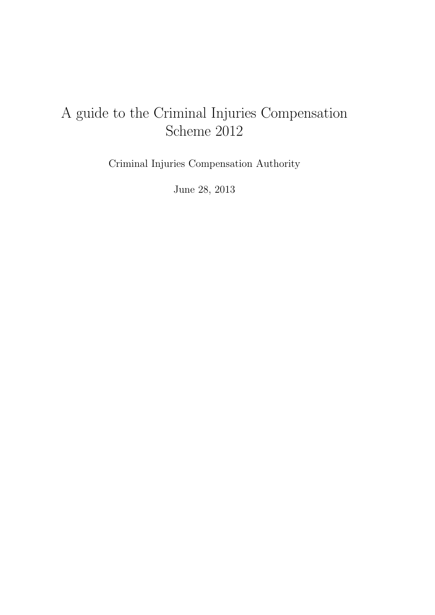# A guide to the Criminal Injuries Compensation Scheme 2012

Criminal Injuries Compensation Authority

June 28, 2013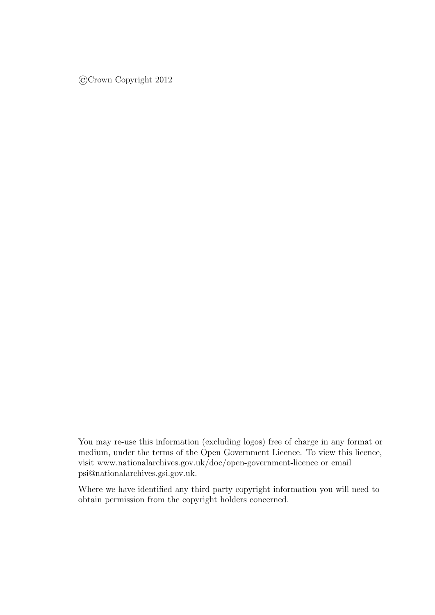©Crown Copyright 2012

You may re-use this information (excluding logos) free of charge in any format or medium, under the terms of the Open Government Licence. To view this licence, visit [www.nationalarchives.gov.uk/doc/open-government-licence](http://www.nationalarchives.gov.uk/doc/open-government-licence/) or email [psi@nationalarchives.gsi.gov.uk.](mailto:psi@nationalarchives.gsi.gov.uk)

Where we have identified any third party copyright information you will need to obtain permission from the copyright holders concerned.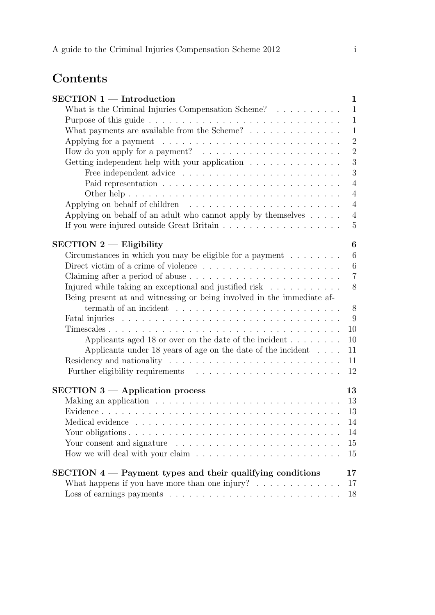# Contents

| $SECTION 1 - Introduction$                                                              | $\mathbf{1}$     |
|-----------------------------------------------------------------------------------------|------------------|
| What is the Criminal Injuries Compensation Scheme? $\ldots \ldots \ldots$               | $\mathbf{1}$     |
|                                                                                         | $\mathbf{1}$     |
| What payments are available from the Scheme? $\ldots \ldots \ldots \ldots$              | $\mathbf{1}$     |
| Applying for a payment $\dots \dots \dots \dots \dots \dots \dots \dots \dots \dots$    | $\overline{2}$   |
|                                                                                         | $\overline{2}$   |
| Getting independent help with your application $\ldots \ldots \ldots \ldots \ldots$     | 3                |
|                                                                                         | 3                |
|                                                                                         | $\overline{4}$   |
|                                                                                         | $\overline{4}$   |
| Applying on behalf of children $\ldots \ldots \ldots \ldots \ldots \ldots \ldots$       | $\overline{4}$   |
| Applying on behalf of an adult who cannot apply by themselves $\dots$ .                 | $\overline{4}$   |
|                                                                                         | $\overline{5}$   |
|                                                                                         |                  |
| $SECTION 2 - Elizabeth$                                                                 | 6                |
| Circumstances in which you may be eligible for a payment $\ldots \ldots \ldots$         | 6                |
| Direct victim of a crime of violence $\dots \dots \dots \dots \dots \dots \dots \dots$  | $\boldsymbol{6}$ |
|                                                                                         | $\overline{7}$   |
| Injured while taking an exceptional and justified risk $\ldots \ldots \ldots$           | 8                |
| Being present at and witnessing or being involved in the immediate af-                  |                  |
|                                                                                         | 8                |
|                                                                                         | 9                |
|                                                                                         | 10               |
| Applicants aged 18 or over on the date of the incident $\dots \dots$                    | 10               |
| Applicants under 18 years of age on the date of the incident $\dots$                    | 11               |
| Residency and nationality $\dots \dots \dots \dots \dots \dots \dots \dots \dots \dots$ | 11               |
|                                                                                         | 12               |
|                                                                                         |                  |
| $SECTION 3$ - Application process                                                       | 13               |
| Making an application $\ldots \ldots \ldots \ldots \ldots \ldots \ldots \ldots \ldots$  | 13               |
|                                                                                         | 13               |
|                                                                                         | 14               |
|                                                                                         | 14               |
|                                                                                         | 15               |
|                                                                                         | 15               |
| $SECTION 4$ – Payment types and their qualifying conditions                             | 17               |
| What happens if you have more than one injury? $\ldots \ldots \ldots \ldots$            | 17               |
|                                                                                         | 18               |
|                                                                                         |                  |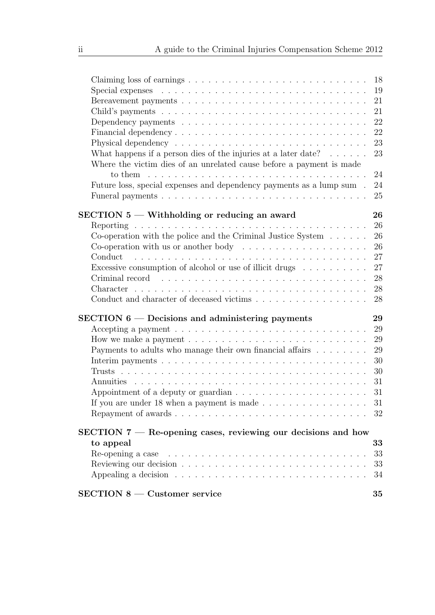| Claiming loss of earnings $\ldots \ldots \ldots \ldots \ldots \ldots \ldots \ldots \ldots \ldots$                                                                                                                              | 18       |
|--------------------------------------------------------------------------------------------------------------------------------------------------------------------------------------------------------------------------------|----------|
|                                                                                                                                                                                                                                | 19       |
|                                                                                                                                                                                                                                | 21       |
|                                                                                                                                                                                                                                | 21       |
| Dependency payments $\ldots \ldots \ldots \ldots \ldots \ldots \ldots \ldots \ldots \ldots$                                                                                                                                    | 22       |
|                                                                                                                                                                                                                                | 22       |
|                                                                                                                                                                                                                                | 23       |
| What happens if a person dies of the injuries at a later date? $\ldots \ldots$<br>Where the victim dies of an unrelated cause before a payment is made                                                                         | 23<br>24 |
| Future loss, special expenses and dependency payments as a lump sum.                                                                                                                                                           | 24<br>25 |
| SECTION 5 – Withholding or reducing an award                                                                                                                                                                                   | 26       |
|                                                                                                                                                                                                                                | 26       |
| Co-operation with the police and the Criminal Justice System $\dots \dots$                                                                                                                                                     | 26       |
| Co-operation with us or another body $\dots \dots \dots \dots \dots \dots \dots$                                                                                                                                               | 26       |
|                                                                                                                                                                                                                                | 27       |
| Excessive consumption of alcohol or use of illicit drugs $\dots \dots \dots$                                                                                                                                                   | 27       |
| Criminal record (e.g., e.g., e.g., e.g., e.g., e.g., e.g., e.g., e.g., e.g., e.g., e.g., e.g., e.g., e.g., e.g., e.g., e.g., e.g., e.g., e.g., e.g., e.g., e.g., e.g., e.g., e.g., e.g., e.g., e.g., e.g., e.g., e.g., e.g., e | 28       |
|                                                                                                                                                                                                                                | 28       |
|                                                                                                                                                                                                                                | 28       |
| $SECTION 6 - Decisions$ and administering payments                                                                                                                                                                             | 29       |
| Accepting a payment $\ldots \ldots \ldots \ldots \ldots \ldots \ldots \ldots \ldots \ldots$                                                                                                                                    | 29       |
| How we make a payment $\dots \dots \dots \dots \dots \dots \dots \dots \dots \dots \dots$                                                                                                                                      | 29       |
| Payments to adults who manage their own financial affairs                                                                                                                                                                      | 29       |
|                                                                                                                                                                                                                                | 30       |
|                                                                                                                                                                                                                                | 30       |
|                                                                                                                                                                                                                                | 31       |
| Appointment of a deputy or guardian $\ldots \ldots \ldots \ldots \ldots \ldots$                                                                                                                                                | 31       |
| If you are under 18 when a payment is made $\ldots \ldots \ldots \ldots \ldots$                                                                                                                                                | 31       |
|                                                                                                                                                                                                                                | 32       |
| $SECTION 7$ – Re-opening cases, reviewing our decisions and how                                                                                                                                                                |          |
| to appeal                                                                                                                                                                                                                      | 33       |
| Re-opening a case $\dots \dots \dots \dots \dots \dots \dots \dots \dots \dots \dots \dots \dots$                                                                                                                              | 33       |
|                                                                                                                                                                                                                                | 33       |
|                                                                                                                                                                                                                                | 34       |
| $SECTION 8$ – Customer service                                                                                                                                                                                                 | 35       |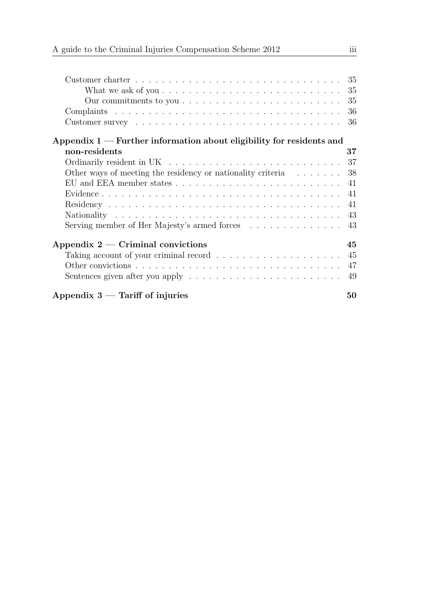| Customer charter $\dots \dots \dots \dots \dots \dots \dots \dots \dots \dots \dots \dots \dots \dots \dots$ |    |
|--------------------------------------------------------------------------------------------------------------|----|
| What we ask of you $\ldots \ldots \ldots \ldots \ldots \ldots \ldots \ldots \ldots \ldots \ldots 35$         |    |
| Our commitments to you $\dots \dots \dots \dots \dots \dots \dots \dots \dots \dots \dots \dots$ 35          |    |
|                                                                                                              |    |
|                                                                                                              | 36 |
| Appendix $1$ — Further information about eligibility for residents and                                       |    |
| non-residents                                                                                                | 37 |
|                                                                                                              |    |
| Other ways of meeting the residency or nationality criteria $\dots \dots$                                    | 38 |
|                                                                                                              |    |
|                                                                                                              |    |
|                                                                                                              |    |
|                                                                                                              |    |
|                                                                                                              |    |
| Appendix $2$ — Criminal convictions                                                                          | 45 |
|                                                                                                              | 45 |
|                                                                                                              | 47 |
|                                                                                                              | 49 |
| Appendix $3$ — Tariff of injuries                                                                            | 50 |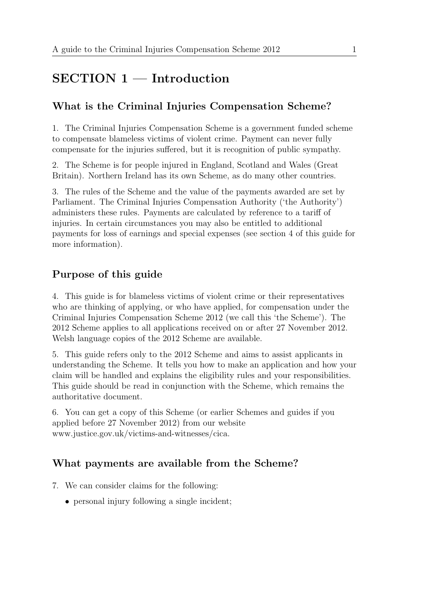# SECTION 1 — Introduction

# <span id="page-6-0"></span>What is the Criminal Injuries Compensation Scheme?

<span id="page-6-1"></span>1. The Criminal Injuries Compensation Scheme is a government funded scheme to compensate blameless victims of violent crime. Payment can never fully compensate for the injuries suffered, but it is recognition of public sympathy.

2. The Scheme is for people injured in England, Scotland and Wales (Great Britain). Northern Ireland has its own Scheme, as do many other countries.

3. The rules of the Scheme and the value of the payments awarded are set by Parliament. The Criminal Injuries Compensation Authority ('the Authority') administers these rules. Payments are calculated by reference to a tariff of injuries. In certain circumstances you may also be entitled to additional payments for loss of earnings and special expenses (see section 4 of this guide for more information).

## Purpose of this guide

<span id="page-6-2"></span>4. This guide is for blameless victims of violent crime or their representatives who are thinking of applying, or who have applied, for compensation under the Criminal Injuries Compensation Scheme 2012 (we call this 'the Scheme'). The 2012 Scheme applies to all applications received on or after 27 November 2012. Welsh language copies of the 2012 Scheme are available.

5. This guide refers only to the 2012 Scheme and aims to assist applicants in understanding the Scheme. It tells you how to make an application and how your claim will be handled and explains the eligibility rules and your responsibilities. This guide should be read in conjunction with the Scheme, which remains the authoritative document.

6. You can get a copy of this Scheme (or earlier Schemes and guides if you applied before 27 November 2012) from our website [www.justice.gov.uk/victims-and-witnesses/cica.](http://www.justice.gov.uk/victims-and-witnesses/cica)

## What payments are available from the Scheme?

- <span id="page-6-3"></span>7. We can consider claims for the following:
	- personal injury following a single incident;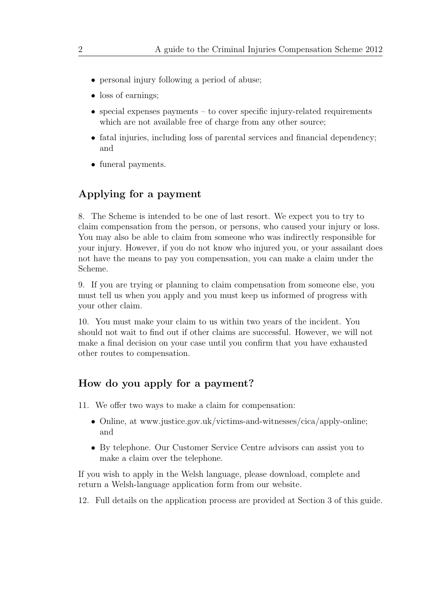- personal injury following a period of abuse;
- loss of earnings;
- special expenses payments to cover specific injury-related requirements which are not available free of charge from any other source;
- fatal injuries, including loss of parental services and financial dependency; and
- funeral payments.

## Applying for a payment

<span id="page-7-0"></span>8. The Scheme is intended to be one of last resort. We expect you to try to claim compensation from the person, or persons, who caused your injury or loss. You may also be able to claim from someone who was indirectly responsible for your injury. However, if you do not know who injured you, or your assailant does not have the means to pay you compensation, you can make a claim under the Scheme.

9. If you are trying or planning to claim compensation from someone else, you must tell us when you apply and you must keep us informed of progress with your other claim.

10. You must make your claim to us within two years of the incident. You should not wait to find out if other claims are successful. However, we will not make a final decision on your case until you confirm that you have exhausted other routes to compensation.

## How do you apply for a payment?

- <span id="page-7-1"></span>11. We offer two ways to make a claim for compensation:
	- Online, at [www.justice.gov.uk/victims-and-witnesses/cica/apply-online;](http://www.justice.gov.uk/victims-and-witnesses/cica/apply-online) and
	- By telephone. Our Customer Service Centre advisors can assist you to make a claim over the telephone.

If you wish to apply in the Welsh language, please download, complete and return a Welsh-language application form from our website.

12. Full details on the application process are provided at Section 3 of this guide.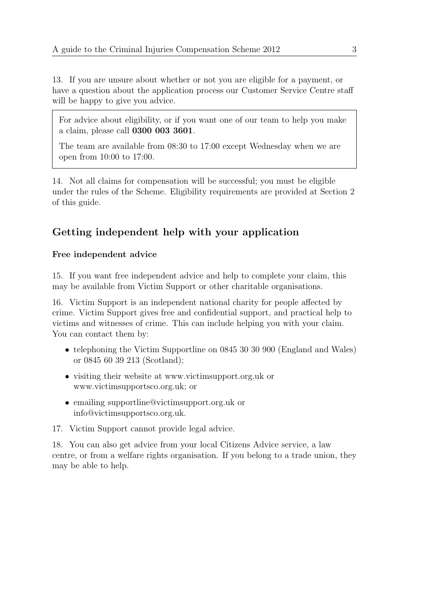13. If you are unsure about whether or not you are eligible for a payment, or have a question about the application process our Customer Service Centre staff will be happy to give you advice.

For advice about eligibility, or if you want one of our team to help you make a claim, please call 0300 003 3601.

The team are available from 08:30 to 17:00 except Wednesday when we are open from 10:00 to 17:00.

14. Not all claims for compensation will be successful; you must be eligible under the rules of the Scheme. Eligibility requirements are provided at Section 2 of this guide.

## Getting independent help with your application

#### <span id="page-8-0"></span>Free independent advice

<span id="page-8-1"></span>15. If you want free independent advice and help to complete your claim, this may be available from Victim Support or other charitable organisations.

16. Victim Support is an independent national charity for people affected by crime. Victim Support gives free and confidential support, and practical help to victims and witnesses of crime. This can include helping you with your claim. You can contact them by:

- telephoning the Victim Supportline on 0845 30 30 900 (England and Wales) or 0845 60 39 213 (Scotland);
- visiting their website at [www.victimsupport.org.uk](http://www.victimsupport.org.uk) or [www.victimsupportsco.org.uk;](http://www.victimsupportsco.org.uk/) or
- emailing [supportline@victimsupport.org.uk](mailto:supportline@victimsupport.org.uk) or [info@victimsupportsco.org.uk.](mailto:info@victimsupportsco.org.uk)

17. Victim Support cannot provide legal advice.

18. You can also get advice from your local Citizens Advice service, a law centre, or from a welfare rights organisation. If you belong to a trade union, they may be able to help.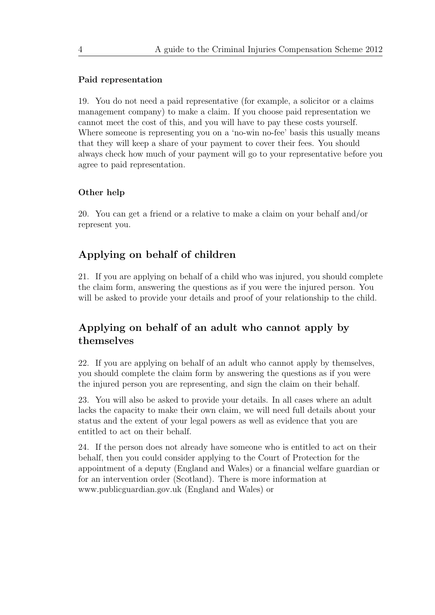#### Paid representation

<span id="page-9-0"></span>19. You do not need a paid representative (for example, a solicitor or a claims management company) to make a claim. If you choose paid representation we cannot meet the cost of this, and you will have to pay these costs yourself. Where someone is representing you on a 'no-win no-fee' basis this usually means that they will keep a share of your payment to cover their fees. You should always check how much of your payment will go to your representative before you agree to paid representation.

#### Other help

<span id="page-9-1"></span>20. You can get a friend or a relative to make a claim on your behalf and/or represent you.

### Applying on behalf of children

<span id="page-9-2"></span>21. If you are applying on behalf of a child who was injured, you should complete the claim form, answering the questions as if you were the injured person. You will be asked to provide your details and proof of your relationship to the child.

## Applying on behalf of an adult who cannot apply by themselves

<span id="page-9-3"></span>22. If you are applying on behalf of an adult who cannot apply by themselves, you should complete the claim form by answering the questions as if you were the injured person you are representing, and sign the claim on their behalf.

23. You will also be asked to provide your details. In all cases where an adult lacks the capacity to make their own claim, we will need full details about your status and the extent of your legal powers as well as evidence that you are entitled to act on their behalf.

24. If the person does not already have someone who is entitled to act on their behalf, then you could consider applying to the Court of Protection for the appointment of a deputy (England and Wales) or a financial welfare guardian or for an intervention order (Scotland). There is more information at [www.publicguardian.gov.uk](http://www.publicguardian.gov.uk/) (England and Wales) or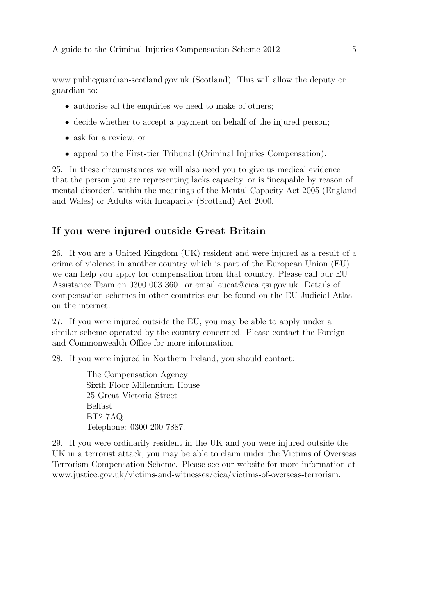[www.publicguardian-scotland.gov.uk](http://www.publicguardian-scotland.gov.uk/) (Scotland). This will allow the deputy or guardian to:

- authorise all the enquiries we need to make of others;
- decide whether to accept a payment on behalf of the injured person;
- ask for a review; or
- appeal to the First-tier Tribunal (Criminal Injuries Compensation).

25. In these circumstances we will also need you to give us medical evidence that the person you are representing lacks capacity, or is 'incapable by reason of mental disorder', within the meanings of the Mental Capacity Act 2005 (England and Wales) or Adults with Incapacity (Scotland) Act 2000.

## If you were injured outside Great Britain

<span id="page-10-0"></span>26. If you are a United Kingdom (UK) resident and were injured as a result of a crime of violence in another country which is part of the European Union (EU) we can help you apply for compensation from that country. Please call our EU Assistance Team on 0300 003 3601 or email [eucat@cica.gsi.gov.uk.](mailto:eucat@cica.gsi.gov.uk) Details of compensation schemes in other countries can be found on the EU Judicial Atlas on the internet.

27. If you were injured outside the EU, you may be able to apply under a similar scheme operated by the country concerned. Please contact the Foreign and Commonwealth Office for more information.

28. If you were injured in Northern Ireland, you should contact:

The Compensation Agency Sixth Floor Millennium House 25 Great Victoria Street Belfast BT2 7AQ Telephone: 0300 200 7887.

29. If you were ordinarily resident in the UK and you were injured outside the UK in a terrorist attack, you may be able to claim under the Victims of Overseas Terrorism Compensation Scheme. Please see our website for more information at [www.justice.gov.uk/victims-and-witnesses/cica/victims-of-overseas-terrorism.](http://www.justice.gov.uk/victims-and-witnesses/cica/victims-of-overseas-terrorism)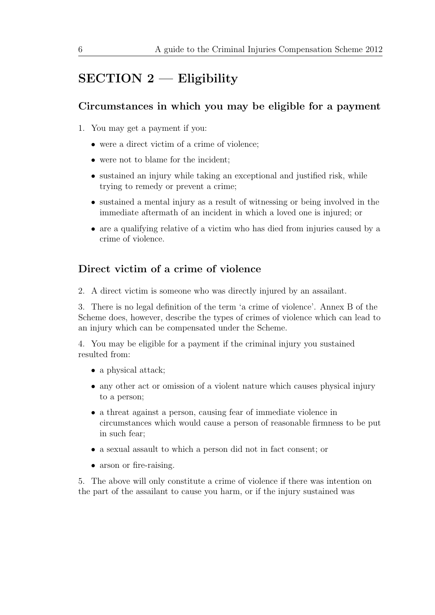# $SECTION 2$  — Eligibility

# <span id="page-11-0"></span>Circumstances in which you may be eligible for a payment

- <span id="page-11-1"></span>1. You may get a payment if you:
	- were a direct victim of a crime of violence;
	- were not to blame for the incident;
	- sustained an injury while taking an exceptional and justified risk, while trying to remedy or prevent a crime;
	- sustained a mental injury as a result of witnessing or being involved in the immediate aftermath of an incident in which a loved one is injured; or
	- are a qualifying relative of a victim who has died from injuries caused by a crime of violence.

# Direct victim of a crime of violence

<span id="page-11-2"></span>2. A direct victim is someone who was directly injured by an assailant.

3. There is no legal definition of the term 'a crime of violence'. Annex B of the Scheme does, however, describe the types of crimes of violence which can lead to an injury which can be compensated under the Scheme.

4. You may be eligible for a payment if the criminal injury you sustained resulted from:

- a physical attack;
- any other act or omission of a violent nature which causes physical injury to a person;
- a threat against a person, causing fear of immediate violence in circumstances which would cause a person of reasonable firmness to be put in such fear;
- a sexual assault to which a person did not in fact consent; or
- arson or fire-raising.

5. The above will only constitute a crime of violence if there was intention on the part of the assailant to cause you harm, or if the injury sustained was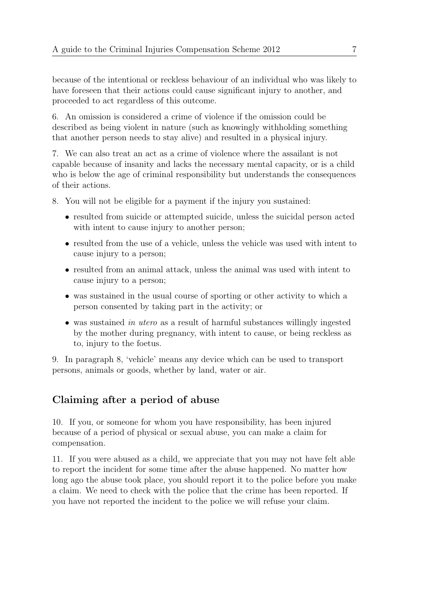because of the intentional or reckless behaviour of an individual who was likely to have foreseen that their actions could cause significant injury to another, and proceeded to act regardless of this outcome.

6. An omission is considered a crime of violence if the omission could be described as being violent in nature (such as knowingly withholding something that another person needs to stay alive) and resulted in a physical injury.

7. We can also treat an act as a crime of violence where the assailant is not capable because of insanity and lacks the necessary mental capacity, or is a child who is below the age of criminal responsibility but understands the consequences of their actions.

8. You will not be eligible for a payment if the injury you sustained:

- resulted from suicide or attempted suicide, unless the suicidal person acted with intent to cause injury to another person;
- resulted from the use of a vehicle, unless the vehicle was used with intent to cause injury to a person;
- resulted from an animal attack, unless the animal was used with intent to cause injury to a person;
- was sustained in the usual course of sporting or other activity to which a person consented by taking part in the activity; or
- was sustained in utero as a result of harmful substances willingly ingested by the mother during pregnancy, with intent to cause, or being reckless as to, injury to the foetus.

9. In paragraph 8, 'vehicle' means any device which can be used to transport persons, animals or goods, whether by land, water or air.

# Claiming after a period of abuse

<span id="page-12-0"></span>10. If you, or someone for whom you have responsibility, has been injured because of a period of physical or sexual abuse, you can make a claim for compensation.

11. If you were abused as a child, we appreciate that you may not have felt able to report the incident for some time after the abuse happened. No matter how long ago the abuse took place, you should report it to the police before you make a claim. We need to check with the police that the crime has been reported. If you have not reported the incident to the police we will refuse your claim.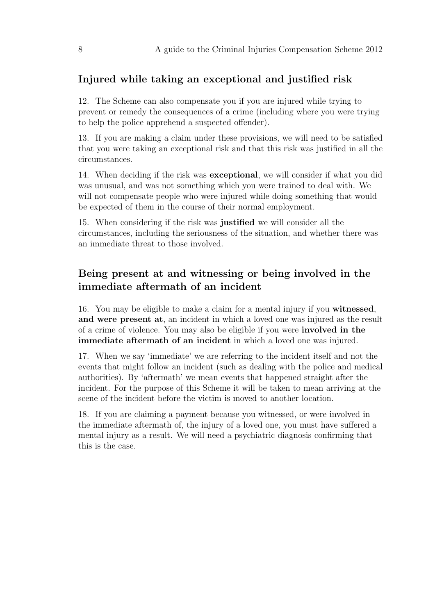## Injured while taking an exceptional and justified risk

<span id="page-13-0"></span>12. The Scheme can also compensate you if you are injured while trying to prevent or remedy the consequences of a crime (including where you were trying to help the police apprehend a suspected offender).

13. If you are making a claim under these provisions, we will need to be satisfied that you were taking an exceptional risk and that this risk was justified in all the circumstances.

14. When deciding if the risk was exceptional, we will consider if what you did was unusual, and was not something which you were trained to deal with. We will not compensate people who were injured while doing something that would be expected of them in the course of their normal employment.

15. When considering if the risk was justified we will consider all the circumstances, including the seriousness of the situation, and whether there was an immediate threat to those involved.

# Being present at and witnessing or being involved in the immediate aftermath of an incident

<span id="page-13-1"></span>16. You may be eligible to make a claim for a mental injury if you witnessed, and were present at, an incident in which a loved one was injured as the result of a crime of violence. You may also be eligible if you were involved in the immediate aftermath of an incident in which a loved one was injured.

17. When we say 'immediate' we are referring to the incident itself and not the events that might follow an incident (such as dealing with the police and medical authorities). By 'aftermath' we mean events that happened straight after the incident. For the purpose of this Scheme it will be taken to mean arriving at the scene of the incident before the victim is moved to another location.

18. If you are claiming a payment because you witnessed, or were involved in the immediate aftermath of, the injury of a loved one, you must have suffered a mental injury as a result. We will need a psychiatric diagnosis confirming that this is the case.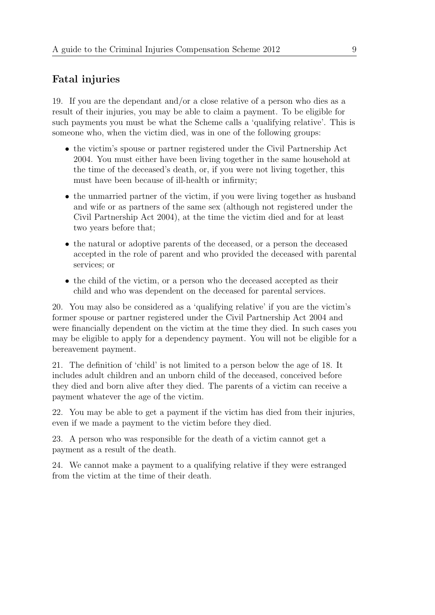### Fatal injuries

<span id="page-14-0"></span>19. If you are the dependant and/or a close relative of a person who dies as a result of their injuries, you may be able to claim a payment. To be eligible for such payments you must be what the Scheme calls a 'qualifying relative'. This is someone who, when the victim died, was in one of the following groups:

- the victim's spouse or partner registered under the Civil Partnership Act 2004. You must either have been living together in the same household at the time of the deceased's death, or, if you were not living together, this must have been because of ill-health or infirmity;
- the unmarried partner of the victim, if you were living together as husband and wife or as partners of the same sex (although not registered under the Civil Partnership Act 2004), at the time the victim died and for at least two years before that;
- the natural or adoptive parents of the deceased, or a person the deceased accepted in the role of parent and who provided the deceased with parental services; or
- the child of the victim, or a person who the deceased accepted as their child and who was dependent on the deceased for parental services.

20. You may also be considered as a 'qualifying relative' if you are the victim's former spouse or partner registered under the Civil Partnership Act 2004 and were financially dependent on the victim at the time they died. In such cases you may be eligible to apply for a dependency payment. You will not be eligible for a bereavement payment.

21. The definition of 'child' is not limited to a person below the age of 18. It includes adult children and an unborn child of the deceased, conceived before they died and born alive after they died. The parents of a victim can receive a payment whatever the age of the victim.

22. You may be able to get a payment if the victim has died from their injuries, even if we made a payment to the victim before they died.

23. A person who was responsible for the death of a victim cannot get a payment as a result of the death.

24. We cannot make a payment to a qualifying relative if they were estranged from the victim at the time of their death.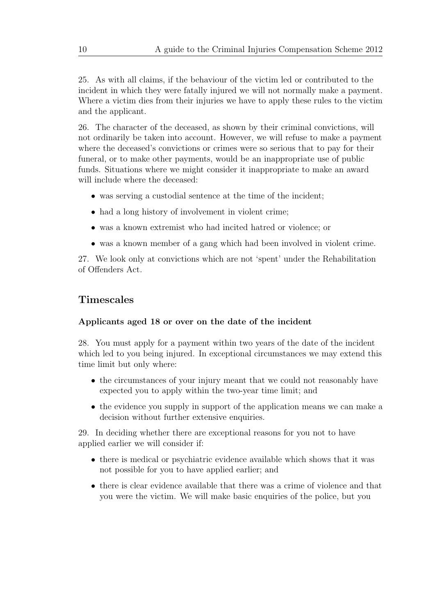25. As with all claims, if the behaviour of the victim led or contributed to the incident in which they were fatally injured we will not normally make a payment. Where a victim dies from their injuries we have to apply these rules to the victim and the applicant.

26. The character of the deceased, as shown by their criminal convictions, will not ordinarily be taken into account. However, we will refuse to make a payment where the deceased's convictions or crimes were so serious that to pay for their funeral, or to make other payments, would be an inappropriate use of public funds. Situations where we might consider it inappropriate to make an award will include where the deceased:

- was serving a custodial sentence at the time of the incident;
- had a long history of involvement in violent crime;
- was a known extremist who had incited hatred or violence; or
- was a known member of a gang which had been involved in violent crime.

27. We look only at convictions which are not 'spent' under the Rehabilitation of Offenders Act.

### Timescales

#### <span id="page-15-0"></span>Applicants aged 18 or over on the date of the incident

<span id="page-15-1"></span>28. You must apply for a payment within two years of the date of the incident which led to you being injured. In exceptional circumstances we may extend this time limit but only where:

- the circumstances of your injury meant that we could not reasonably have expected you to apply within the two-year time limit; and
- the evidence you supply in support of the application means we can make a decision without further extensive enquiries.

29. In deciding whether there are exceptional reasons for you not to have applied earlier we will consider if:

- there is medical or psychiatric evidence available which shows that it was not possible for you to have applied earlier; and
- there is clear evidence available that there was a crime of violence and that you were the victim. We will make basic enquiries of the police, but you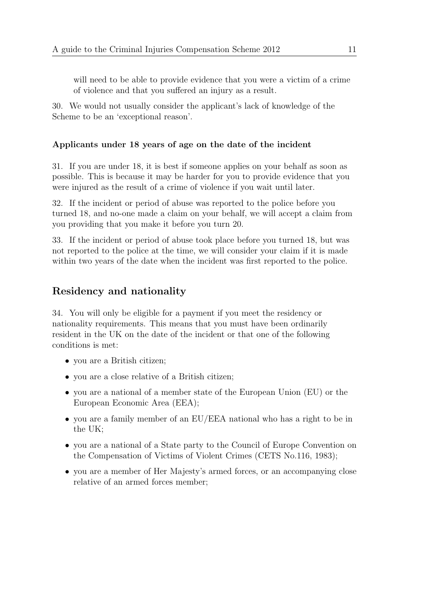will need to be able to provide evidence that you were a victim of a crime of violence and that you suffered an injury as a result.

30. We would not usually consider the applicant's lack of knowledge of the Scheme to be an 'exceptional reason'.

#### Applicants under 18 years of age on the date of the incident

<span id="page-16-0"></span>31. If you are under 18, it is best if someone applies on your behalf as soon as possible. This is because it may be harder for you to provide evidence that you were injured as the result of a crime of violence if you wait until later.

32. If the incident or period of abuse was reported to the police before you turned 18, and no-one made a claim on your behalf, we will accept a claim from you providing that you make it before you turn 20.

33. If the incident or period of abuse took place before you turned 18, but was not reported to the police at the time, we will consider your claim if it is made within two years of the date when the incident was first reported to the police.

### Residency and nationality

<span id="page-16-1"></span>34. You will only be eligible for a payment if you meet the residency or nationality requirements. This means that you must have been ordinarily resident in the UK on the date of the incident or that one of the following conditions is met:

- you are a British citizen;
- you are a close relative of a British citizen;
- you are a national of a member state of the European Union (EU) or the European Economic Area (EEA);
- you are a family member of an EU/EEA national who has a right to be in the UK;
- you are a national of a State party to the Council of Europe Convention on the Compensation of Victims of Violent Crimes [\(CETS No.116, 1983\)](http://conventions.coe.int/Treaty/Commun/QueVoulezVous.asp?NT=116&CM=8&CL=ENG);
- you are a member of Her Majesty's armed forces, or an accompanying close relative of an armed forces member;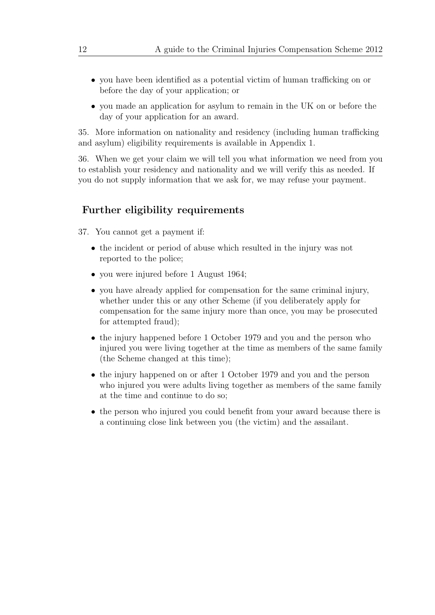- you have been identified as a potential victim of human trafficking on or before the day of your application; or
- you made an application for asylum to remain in the UK on or before the day of your application for an award.

35. More information on nationality and residency (including human trafficking and asylum) eligibility requirements is available in Appendix 1.

36. When we get your claim we will tell you what information we need from you to establish your residency and nationality and we will verify this as needed. If you do not supply information that we ask for, we may refuse your payment.

### Further eligibility requirements

<span id="page-17-0"></span>37. You cannot get a payment if:

- the incident or period of abuse which resulted in the injury was not reported to the police;
- you were injured before 1 August 1964;
- you have already applied for compensation for the same criminal injury, whether under this or any other Scheme (if you deliberately apply for compensation for the same injury more than once, you may be prosecuted for attempted fraud);
- the injury happened before 1 October 1979 and you and the person who injured you were living together at the time as members of the same family (the Scheme changed at this time);
- the injury happened on or after 1 October 1979 and you and the person who injured you were adults living together as members of the same family at the time and continue to do so;
- the person who injured you could benefit from your award because there is a continuing close link between you (the victim) and the assailant.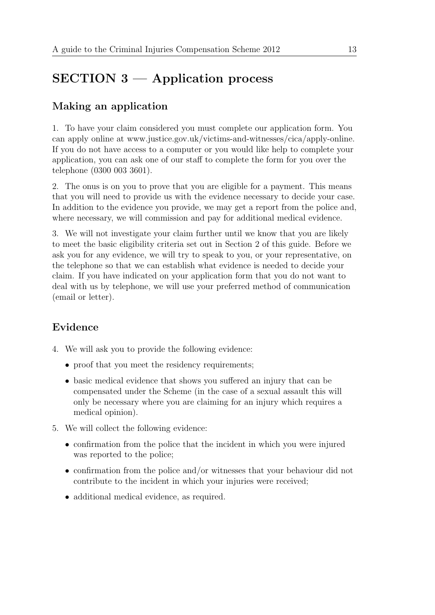# SECTION 3 — Application process

# <span id="page-18-0"></span>Making an application

<span id="page-18-1"></span>1. To have your claim considered you must complete our application form. You can apply online at [www.justice.gov.uk/victims-and-witnesses/cica/apply-online.](http://www.justice.gov.uk/victims-and-witnesses/cica/apply-online) If you do not have access to a computer or you would like help to complete your application, you can ask one of our staff to complete the form for you over the telephone (0300 003 3601).

2. The onus is on you to prove that you are eligible for a payment. This means that you will need to provide us with the evidence necessary to decide your case. In addition to the evidence you provide, we may get a report from the police and, where necessary, we will commission and pay for additional medical evidence.

3. We will not investigate your claim further until we know that you are likely to meet the basic eligibility criteria set out in Section 2 of this guide. Before we ask you for any evidence, we will try to speak to you, or your representative, on the telephone so that we can establish what evidence is needed to decide your claim. If you have indicated on your application form that you do not want to deal with us by telephone, we will use your preferred method of communication (email or letter).

# Evidence

- <span id="page-18-2"></span>4. We will ask you to provide the following evidence:
	- proof that you meet the residency requirements;
	- basic medical evidence that shows you suffered an injury that can be compensated under the Scheme (in the case of a sexual assault this will only be necessary where you are claiming for an injury which requires a medical opinion).
- 5. We will collect the following evidence:
	- confirmation from the police that the incident in which you were injured was reported to the police;
	- confirmation from the police and/or witnesses that your behaviour did not contribute to the incident in which your injuries were received;
	- additional medical evidence, as required.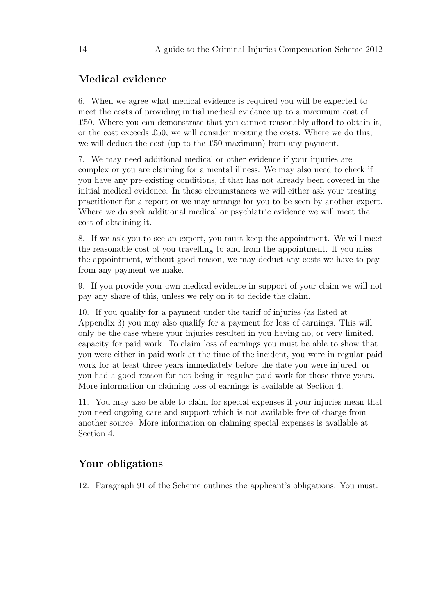### Medical evidence

<span id="page-19-0"></span>6. When we agree what medical evidence is required you will be expected to meet the costs of providing initial medical evidence up to a maximum cost of £50. Where you can demonstrate that you cannot reasonably afford to obtain it, or the cost exceeds £50, we will consider meeting the costs. Where we do this, we will deduct the cost (up to the £50 maximum) from any payment.

7. We may need additional medical or other evidence if your injuries are complex or you are claiming for a mental illness. We may also need to check if you have any pre-existing conditions, if that has not already been covered in the initial medical evidence. In these circumstances we will either ask your treating practitioner for a report or we may arrange for you to be seen by another expert. Where we do seek additional medical or psychiatric evidence we will meet the cost of obtaining it.

8. If we ask you to see an expert, you must keep the appointment. We will meet the reasonable cost of you travelling to and from the appointment. If you miss the appointment, without good reason, we may deduct any costs we have to pay from any payment we make.

9. If you provide your own medical evidence in support of your claim we will not pay any share of this, unless we rely on it to decide the claim.

10. If you qualify for a payment under the tariff of injuries (as listed at Appendix 3) you may also qualify for a payment for loss of earnings. This will only be the case where your injuries resulted in you having no, or very limited, capacity for paid work. To claim loss of earnings you must be able to show that you were either in paid work at the time of the incident, you were in regular paid work for at least three years immediately before the date you were injured; or you had a good reason for not being in regular paid work for those three years. More information on claiming loss of earnings is available at Section 4.

11. You may also be able to claim for special expenses if your injuries mean that you need ongoing care and support which is not available free of charge from another source. More information on claiming special expenses is available at Section 4.

### Your obligations

<span id="page-19-1"></span>12. Paragraph 91 of the Scheme outlines the applicant's obligations. You must: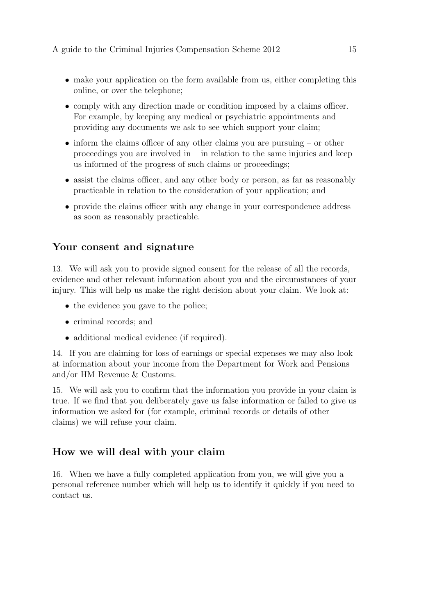- make your application on the form available from us, either completing this online, or over the telephone;
- comply with any direction made or condition imposed by a claims officer. For example, by keeping any medical or psychiatric appointments and providing any documents we ask to see which support your claim;
- inform the claims officer of any other claims you are pursuing or other proceedings you are involved in  $-$  in relation to the same injuries and keep us informed of the progress of such claims or proceedings;
- assist the claims officer, and any other body or person, as far as reasonably practicable in relation to the consideration of your application; and
- provide the claims officer with any change in your correspondence address as soon as reasonably practicable.

### Your consent and signature

<span id="page-20-0"></span>13. We will ask you to provide signed consent for the release of all the records, evidence and other relevant information about you and the circumstances of your injury. This will help us make the right decision about your claim. We look at:

- the evidence you gave to the police;
- criminal records; and
- additional medical evidence (if required).

14. If you are claiming for loss of earnings or special expenses we may also look at information about your income from the Department for Work and Pensions and/or HM Revenue & Customs.

15. We will ask you to confirm that the information you provide in your claim is true. If we find that you deliberately gave us false information or failed to give us information we asked for (for example, criminal records or details of other claims) we will refuse your claim.

#### How we will deal with your claim

<span id="page-20-1"></span>16. When we have a fully completed application from you, we will give you a personal reference number which will help us to identify it quickly if you need to contact us.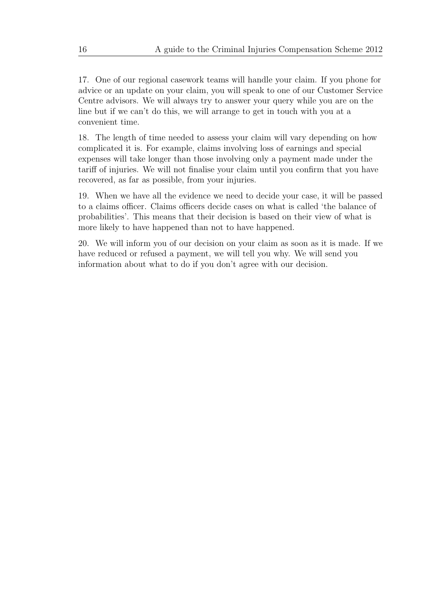17. One of our regional casework teams will handle your claim. If you phone for advice or an update on your claim, you will speak to one of our Customer Service Centre advisors. We will always try to answer your query while you are on the line but if we can't do this, we will arrange to get in touch with you at a convenient time.

18. The length of time needed to assess your claim will vary depending on how complicated it is. For example, claims involving loss of earnings and special expenses will take longer than those involving only a payment made under the tariff of injuries. We will not finalise your claim until you confirm that you have recovered, as far as possible, from your injuries.

19. When we have all the evidence we need to decide your case, it will be passed to a claims officer. Claims officers decide cases on what is called 'the balance of probabilities'. This means that their decision is based on their view of what is more likely to have happened than not to have happened.

20. We will inform you of our decision on your claim as soon as it is made. If we have reduced or refused a payment, we will tell you why. We will send you information about what to do if you don't agree with our decision.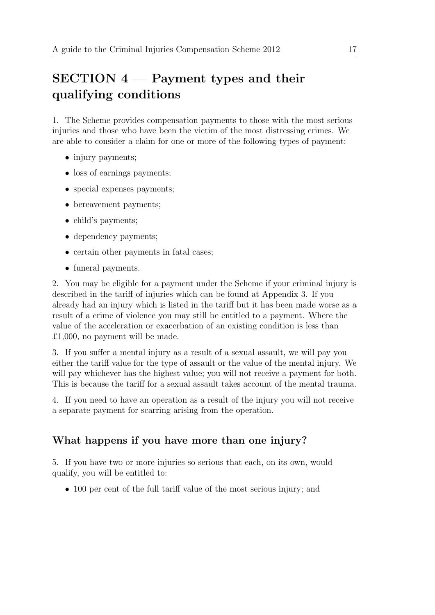# $SECTION 4$  – Payment types and their qualifying conditions

<span id="page-22-0"></span>1. The Scheme provides compensation payments to those with the most serious injuries and those who have been the victim of the most distressing crimes. We are able to consider a claim for one or more of the following types of payment:

- injury payments;
- loss of earnings payments;
- special expenses payments;
- bereavement payments;
- child's payments;
- dependency payments;
- certain other payments in fatal cases;
- funeral payments.

2. You may be eligible for a payment under the Scheme if your criminal injury is described in the tariff of injuries which can be found at Appendix 3. If you already had an injury which is listed in the tariff but it has been made worse as a result of a crime of violence you may still be entitled to a payment. Where the value of the acceleration or exacerbation of an existing condition is less than £1,000, no payment will be made.

3. If you suffer a mental injury as a result of a sexual assault, we will pay you either the tariff value for the type of assault or the value of the mental injury. We will pay whichever has the highest value; you will not receive a payment for both. This is because the tariff for a sexual assault takes account of the mental trauma.

4. If you need to have an operation as a result of the injury you will not receive a separate payment for scarring arising from the operation.

# What happens if you have more than one injury?

<span id="page-22-1"></span>5. If you have two or more injuries so serious that each, on its own, would qualify, you will be entitled to:

• 100 per cent of the full tariff value of the most serious injury; and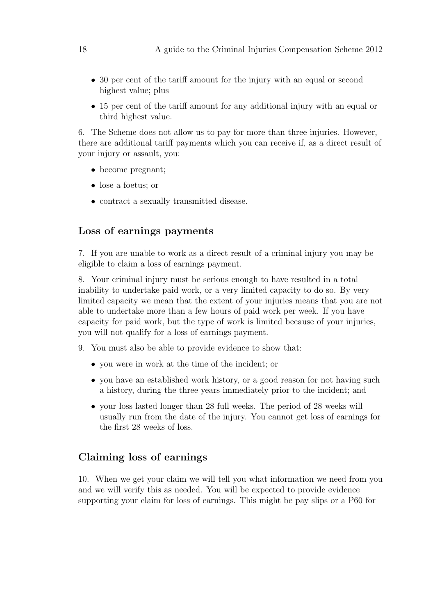- 30 per cent of the tariff amount for the injury with an equal or second highest value; plus
- 15 per cent of the tariff amount for any additional injury with an equal or third highest value.

6. The Scheme does not allow us to pay for more than three injuries. However, there are additional tariff payments which you can receive if, as a direct result of your injury or assault, you:

- become pregnant;
- lose a foetus; or
- contract a sexually transmitted disease.

### Loss of earnings payments

<span id="page-23-0"></span>7. If you are unable to work as a direct result of a criminal injury you may be eligible to claim a loss of earnings payment.

8. Your criminal injury must be serious enough to have resulted in a total inability to undertake paid work, or a very limited capacity to do so. By very limited capacity we mean that the extent of your injuries means that you are not able to undertake more than a few hours of paid work per week. If you have capacity for paid work, but the type of work is limited because of your injuries, you will not qualify for a loss of earnings payment.

- 9. You must also be able to provide evidence to show that:
	- you were in work at the time of the incident; or
	- you have an established work history, or a good reason for not having such a history, during the three years immediately prior to the incident; and
	- your loss lasted longer than 28 full weeks. The period of 28 weeks will usually run from the date of the injury. You cannot get loss of earnings for the first 28 weeks of loss.

#### Claiming loss of earnings

<span id="page-23-1"></span>10. When we get your claim we will tell you what information we need from you and we will verify this as needed. You will be expected to provide evidence supporting your claim for loss of earnings. This might be pay slips or a P60 for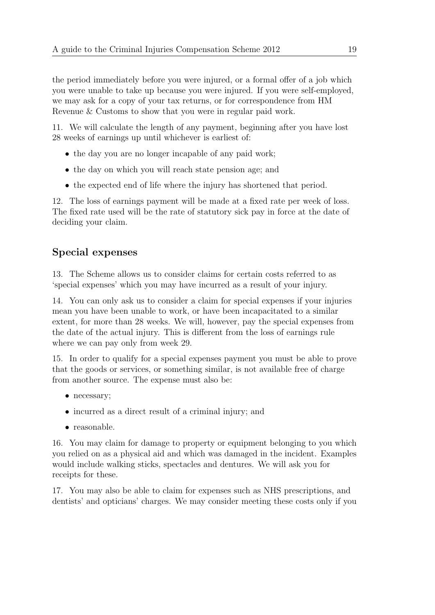the period immediately before you were injured, or a formal offer of a job which you were unable to take up because you were injured. If you were self-employed, we may ask for a copy of your tax returns, or for correspondence from HM Revenue & Customs to show that you were in regular paid work.

11. We will calculate the length of any payment, beginning after you have lost 28 weeks of earnings up until whichever is earliest of:

- the day you are no longer incapable of any paid work;
- the day on which you will reach state pension age; and
- the expected end of life where the injury has shortened that period.

12. The loss of earnings payment will be made at a fixed rate per week of loss. The fixed rate used will be the rate of statutory sick pay in force at the date of deciding your claim.

## Special expenses

<span id="page-24-0"></span>13. The Scheme allows us to consider claims for certain costs referred to as 'special expenses' which you may have incurred as a result of your injury.

14. You can only ask us to consider a claim for special expenses if your injuries mean you have been unable to work, or have been incapacitated to a similar extent, for more than 28 weeks. We will, however, pay the special expenses from the date of the actual injury. This is different from the loss of earnings rule where we can pay only from week 29.

15. In order to qualify for a special expenses payment you must be able to prove that the goods or services, or something similar, is not available free of charge from another source. The expense must also be:

- necessary;
- incurred as a direct result of a criminal injury; and
- reasonable.

16. You may claim for damage to property or equipment belonging to you which you relied on as a physical aid and which was damaged in the incident. Examples would include walking sticks, spectacles and dentures. We will ask you for receipts for these.

17. You may also be able to claim for expenses such as NHS prescriptions, and dentists' and opticians' charges. We may consider meeting these costs only if you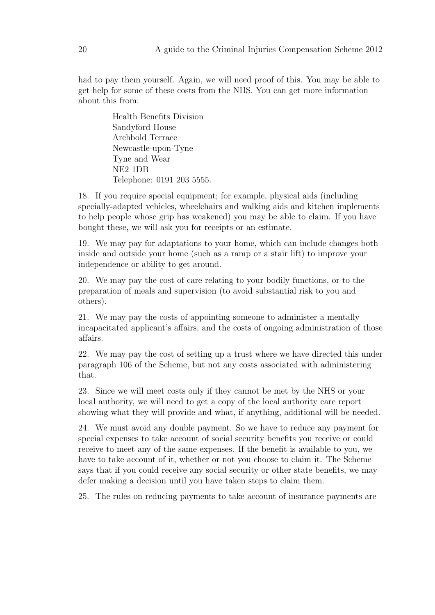had to pay them yourself. Again, we will need proof of this. You may be able to get help for some of these costs from the NHS. You can get more information about this from:

> Health Benefits Division Sandyford House Archbold Terrace Newcastle-upon-Tyne Tyne and Wear NE2 1DB Telephone: 0191 203 5555.

18. If you require special equipment; for example, physical aids (including specially-adapted vehicles, wheelchairs and walking aids and kitchen implements to help people whose grip has weakened) you may be able to claim. If you have bought these, we will ask you for receipts or an estimate.

19. We may pay for adaptations to your home, which can include changes both inside and outside your home (such as a ramp or a stair lift) to improve your independence or ability to get around.

20. We may pay the cost of care relating to your bodily functions, or to the preparation of meals and supervision (to avoid substantial risk to you and others).

21. We may pay the costs of appointing someone to administer a mentally incapacitated applicant's affairs, and the costs of ongoing administration of those affairs.

22. We may pay the cost of setting up a trust where we have directed this under paragraph 106 of the Scheme, but not any costs associated with administering that.

23. Since we will meet costs only if they cannot be met by the NHS or your local authority, we will need to get a copy of the local authority care report showing what they will provide and what, if anything, additional will be needed.

24. We must avoid any double payment. So we have to reduce any payment for special expenses to take account of social security benefits you receive or could receive to meet any of the same expenses. If the benefit is available to you, we have to take account of it, whether or not you choose to claim it. The Scheme says that if you could receive any social security or other state benefits, we may defer making a decision until you have taken steps to claim them.

25. The rules on reducing payments to take account of insurance payments are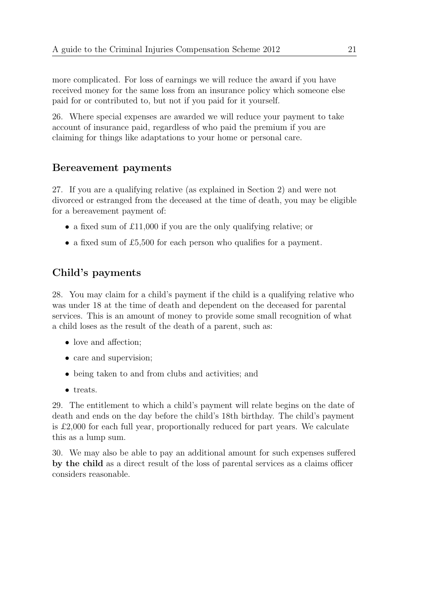more complicated. For loss of earnings we will reduce the award if you have received money for the same loss from an insurance policy which someone else paid for or contributed to, but not if you paid for it yourself.

26. Where special expenses are awarded we will reduce your payment to take account of insurance paid, regardless of who paid the premium if you are claiming for things like adaptations to your home or personal care.

### Bereavement payments

<span id="page-26-0"></span>27. If you are a qualifying relative (as explained in Section 2) and were not divorced or estranged from the deceased at the time of death, you may be eligible for a bereavement payment of:

- a fixed sum of £11,000 if you are the only qualifying relative; or
- a fixed sum of £5,500 for each person who qualifies for a payment.

## Child's payments

<span id="page-26-1"></span>28. You may claim for a child's payment if the child is a qualifying relative who was under 18 at the time of death and dependent on the deceased for parental services. This is an amount of money to provide some small recognition of what a child loses as the result of the death of a parent, such as:

- love and affection:
- care and supervision;
- being taken to and from clubs and activities; and
- treats.

29. The entitlement to which a child's payment will relate begins on the date of death and ends on the day before the child's 18th birthday. The child's payment is £2,000 for each full year, proportionally reduced for part years. We calculate this as a lump sum.

30. We may also be able to pay an additional amount for such expenses suffered by the child as a direct result of the loss of parental services as a claims officer considers reasonable.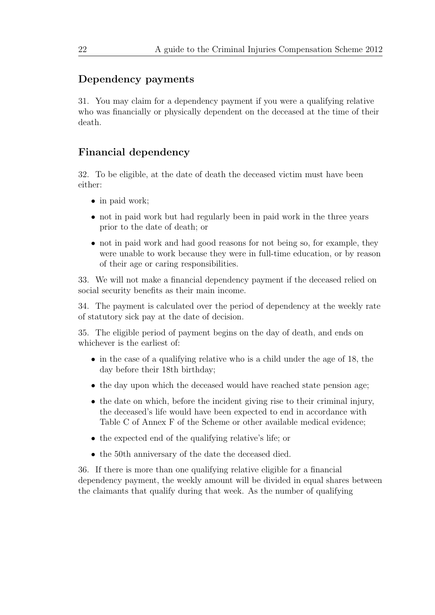### Dependency payments

<span id="page-27-0"></span>31. You may claim for a dependency payment if you were a qualifying relative who was financially or physically dependent on the deceased at the time of their death.

### Financial dependency

<span id="page-27-1"></span>32. To be eligible, at the date of death the deceased victim must have been either:

- in paid work;
- not in paid work but had regularly been in paid work in the three years prior to the date of death; or
- not in paid work and had good reasons for not being so, for example, they were unable to work because they were in full-time education, or by reason of their age or caring responsibilities.

33. We will not make a financial dependency payment if the deceased relied on social security benefits as their main income.

34. The payment is calculated over the period of dependency at the weekly rate of statutory sick pay at the date of decision.

35. The eligible period of payment begins on the day of death, and ends on whichever is the earliest of:

- in the case of a qualifying relative who is a child under the age of 18, the day before their 18th birthday;
- the day upon which the deceased would have reached state pension age;
- the date on which, before the incident giving rise to their criminal injury, the deceased's life would have been expected to end in accordance with Table C of Annex F of the Scheme or other available medical evidence;
- the expected end of the qualifying relative's life; or
- the 50th anniversary of the date the deceased died.

36. If there is more than one qualifying relative eligible for a financial dependency payment, the weekly amount will be divided in equal shares between the claimants that qualify during that week. As the number of qualifying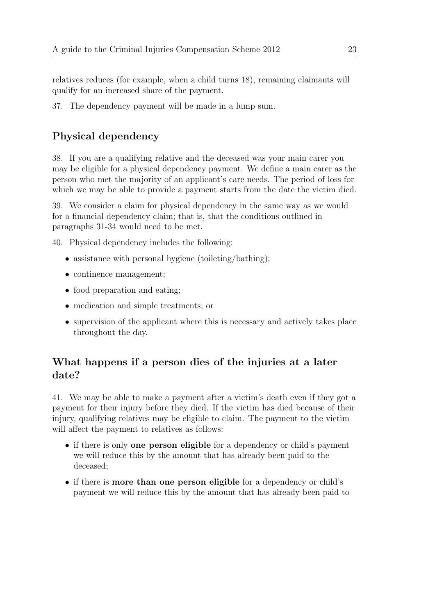relatives reduces (for example, when a child turns 18), remaining claimants will qualify for an increased share of the payment.

37. The dependency payment will be made in a lump sum.

# Physical dependency

<span id="page-28-0"></span>38. If you are a qualifying relative and the deceased was your main carer you may be eligible for a physical dependency payment. We define a main carer as the person who met the majority of an applicant's care needs. The period of loss for which we may be able to provide a payment starts from the date the victim died.

39. We consider a claim for physical dependency in the same way as we would for a financial dependency claim; that is, that the conditions outlined in paragraphs 31-34 would need to be met.

40. Physical dependency includes the following:

- assistance with personal hygiene (toileting/bathing);
- continence management;
- food preparation and eating;
- medication and simple treatments; or
- supervision of the applicant where this is necessary and actively takes place throughout the day.

# What happens if a person dies of the injuries at a later date?

<span id="page-28-1"></span>41. We may be able to make a payment after a victim's death even if they got a payment for their injury before they died. If the victim has died because of their injury, qualifying relatives may be eligible to claim. The payment to the victim will affect the payment to relatives as follows:

- if there is only one person eligible for a dependency or child's payment we will reduce this by the amount that has already been paid to the deceased;
- if there is more than one person eligible for a dependency or child's payment we will reduce this by the amount that has already been paid to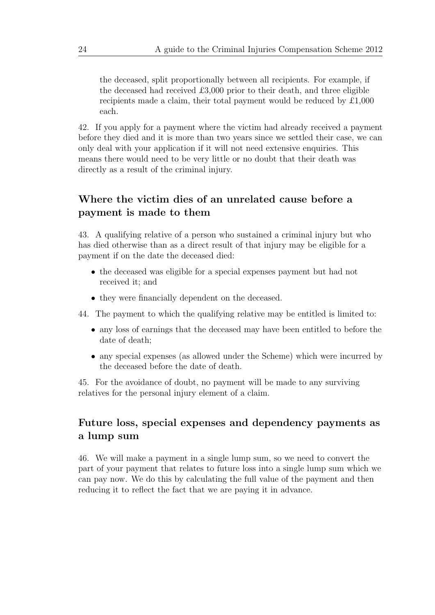the deceased, split proportionally between all recipients. For example, if the deceased had received £3,000 prior to their death, and three eligible recipients made a claim, their total payment would be reduced by £1,000 each.

42. If you apply for a payment where the victim had already received a payment before they died and it is more than two years since we settled their case, we can only deal with your application if it will not need extensive enquiries. This means there would need to be very little or no doubt that their death was directly as a result of the criminal injury.

# Where the victim dies of an unrelated cause before a payment is made to them

<span id="page-29-0"></span>43. A qualifying relative of a person who sustained a criminal injury but who has died otherwise than as a direct result of that injury may be eligible for a payment if on the date the deceased died:

- the deceased was eligible for a special expenses payment but had not received it; and
- they were financially dependent on the deceased.

44. The payment to which the qualifying relative may be entitled is limited to:

- any loss of earnings that the deceased may have been entitled to before the date of death;
- any special expenses (as allowed under the Scheme) which were incurred by the deceased before the date of death.

45. For the avoidance of doubt, no payment will be made to any surviving relatives for the personal injury element of a claim.

# Future loss, special expenses and dependency payments as a lump sum

<span id="page-29-1"></span>46. We will make a payment in a single lump sum, so we need to convert the part of your payment that relates to future loss into a single lump sum which we can pay now. We do this by calculating the full value of the payment and then reducing it to reflect the fact that we are paying it in advance.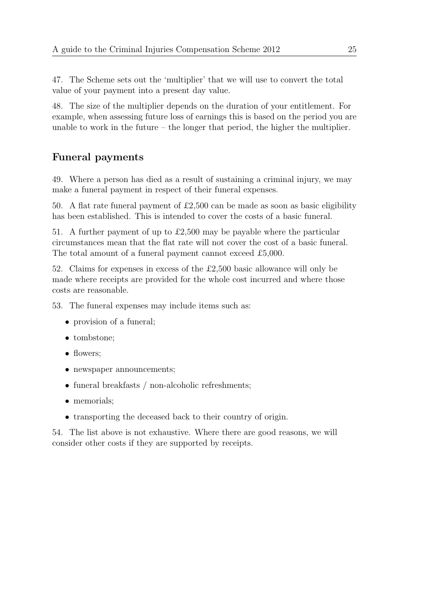47. The Scheme sets out the 'multiplier' that we will use to convert the total value of your payment into a present day value.

48. The size of the multiplier depends on the duration of your entitlement. For example, when assessing future loss of earnings this is based on the period you are unable to work in the future – the longer that period, the higher the multiplier.

# Funeral payments

<span id="page-30-0"></span>49. Where a person has died as a result of sustaining a criminal injury, we may make a funeral payment in respect of their funeral expenses.

50. A flat rate funeral payment of £2,500 can be made as soon as basic eligibility has been established. This is intended to cover the costs of a basic funeral.

51. A further payment of up to £2,500 may be payable where the particular circumstances mean that the flat rate will not cover the cost of a basic funeral. The total amount of a funeral payment cannot exceed £5,000.

52. Claims for expenses in excess of the £2,500 basic allowance will only be made where receipts are provided for the whole cost incurred and where those costs are reasonable.

53. The funeral expenses may include items such as:

- provision of a funeral;
- tombstone;
- flowers:
- newspaper announcements;
- funeral breakfasts / non-alcoholic refreshments;
- memorials;
- transporting the deceased back to their country of origin.

54. The list above is not exhaustive. Where there are good reasons, we will consider other costs if they are supported by receipts.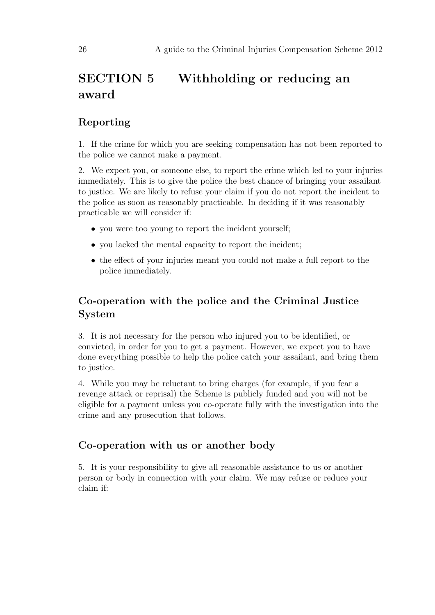# SECTION 5 — Withholding or reducing an award

# <span id="page-31-0"></span>Reporting

<span id="page-31-1"></span>1. If the crime for which you are seeking compensation has not been reported to the police we cannot make a payment.

2. We expect you, or someone else, to report the crime which led to your injuries immediately. This is to give the police the best chance of bringing your assailant to justice. We are likely to refuse your claim if you do not report the incident to the police as soon as reasonably practicable. In deciding if it was reasonably practicable we will consider if:

- you were too young to report the incident yourself;
- you lacked the mental capacity to report the incident;
- the effect of your injuries meant you could not make a full report to the police immediately.

# Co-operation with the police and the Criminal Justice System

<span id="page-31-2"></span>3. It is not necessary for the person who injured you to be identified, or convicted, in order for you to get a payment. However, we expect you to have done everything possible to help the police catch your assailant, and bring them to justice.

4. While you may be reluctant to bring charges (for example, if you fear a revenge attack or reprisal) the Scheme is publicly funded and you will not be eligible for a payment unless you co-operate fully with the investigation into the crime and any prosecution that follows.

### Co-operation with us or another body

<span id="page-31-3"></span>5. It is your responsibility to give all reasonable assistance to us or another person or body in connection with your claim. We may refuse or reduce your claim if: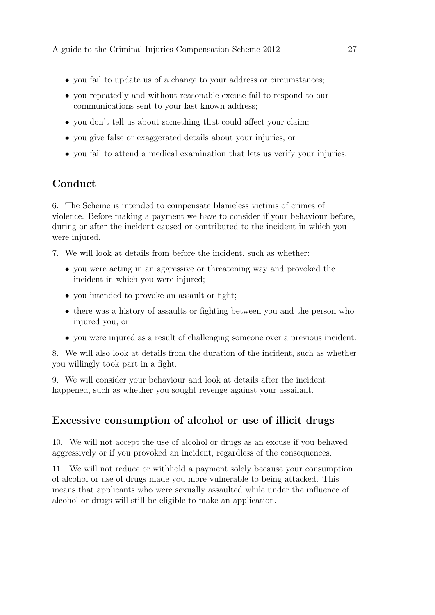- you fail to update us of a change to your address or circumstances;
- you repeatedly and without reasonable excuse fail to respond to our communications sent to your last known address;
- you don't tell us about something that could affect your claim;
- you give false or exaggerated details about your injuries; or
- you fail to attend a medical examination that lets us verify your injuries.

### Conduct

<span id="page-32-0"></span>6. The Scheme is intended to compensate blameless victims of crimes of violence. Before making a payment we have to consider if your behaviour before, during or after the incident caused or contributed to the incident in which you were injured.

7. We will look at details from before the incident, such as whether:

- you were acting in an aggressive or threatening way and provoked the incident in which you were injured;
- you intended to provoke an assault or fight;
- there was a history of assaults or fighting between you and the person who injured you; or
- you were injured as a result of challenging someone over a previous incident.

8. We will also look at details from the duration of the incident, such as whether you willingly took part in a fight.

9. We will consider your behaviour and look at details after the incident happened, such as whether you sought revenge against your assailant.

## Excessive consumption of alcohol or use of illicit drugs

<span id="page-32-1"></span>10. We will not accept the use of alcohol or drugs as an excuse if you behaved aggressively or if you provoked an incident, regardless of the consequences.

11. We will not reduce or withhold a payment solely because your consumption of alcohol or use of drugs made you more vulnerable to being attacked. This means that applicants who were sexually assaulted while under the influence of alcohol or drugs will still be eligible to make an application.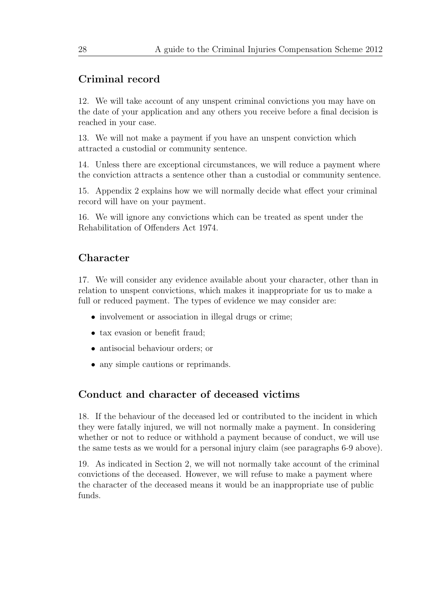### Criminal record

<span id="page-33-0"></span>12. We will take account of any unspent criminal convictions you may have on the date of your application and any others you receive before a final decision is reached in your case.

13. We will not make a payment if you have an unspent conviction which attracted a custodial or community sentence.

14. Unless there are exceptional circumstances, we will reduce a payment where the conviction attracts a sentence other than a custodial or community sentence.

15. Appendix 2 explains how we will normally decide what effect your criminal record will have on your payment.

16. We will ignore any convictions which can be treated as spent under the Rehabilitation of Offenders Act 1974.

### Character

<span id="page-33-1"></span>17. We will consider any evidence available about your character, other than in relation to unspent convictions, which makes it inappropriate for us to make a full or reduced payment. The types of evidence we may consider are:

- involvement or association in illegal drugs or crime;
- tax evasion or benefit fraud;
- antisocial behaviour orders; or
- any simple cautions or reprimands.

## Conduct and character of deceased victims

<span id="page-33-2"></span>18. If the behaviour of the deceased led or contributed to the incident in which they were fatally injured, we will not normally make a payment. In considering whether or not to reduce or withhold a payment because of conduct, we will use the same tests as we would for a personal injury claim (see paragraphs 6-9 above).

19. As indicated in Section 2, we will not normally take account of the criminal convictions of the deceased. However, we will refuse to make a payment where the character of the deceased means it would be an inappropriate use of public funds.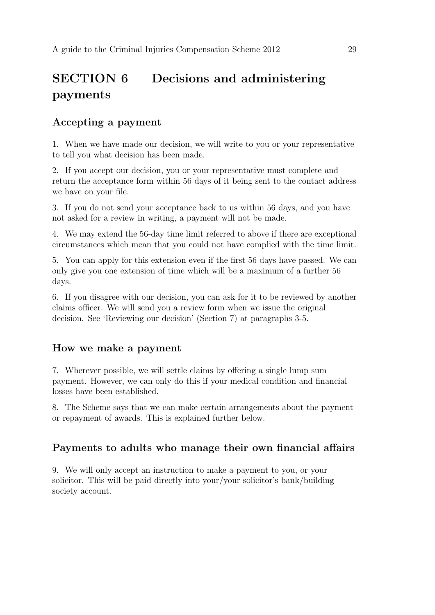# SECTION 6 — Decisions and administering payments

# <span id="page-34-0"></span>Accepting a payment

<span id="page-34-1"></span>1. When we have made our decision, we will write to you or your representative to tell you what decision has been made.

2. If you accept our decision, you or your representative must complete and return the acceptance form within 56 days of it being sent to the contact address we have on your file.

3. If you do not send your acceptance back to us within 56 days, and you have not asked for a review in writing, a payment will not be made.

4. We may extend the 56-day time limit referred to above if there are exceptional circumstances which mean that you could not have complied with the time limit.

5. You can apply for this extension even if the first 56 days have passed. We can only give you one extension of time which will be a maximum of a further 56 days.

6. If you disagree with our decision, you can ask for it to be reviewed by another claims officer. We will send you a review form when we issue the original decision. See 'Reviewing our decision' (Section 7) at paragraphs 3-5.

## How we make a payment

<span id="page-34-2"></span>7. Wherever possible, we will settle claims by offering a single lump sum payment. However, we can only do this if your medical condition and financial losses have been established.

8. The Scheme says that we can make certain arrangements about the payment or repayment of awards. This is explained further below.

# Payments to adults who manage their own financial affairs

<span id="page-34-3"></span>9. We will only accept an instruction to make a payment to you, or your solicitor. This will be paid directly into your/your solicitor's bank/building society account.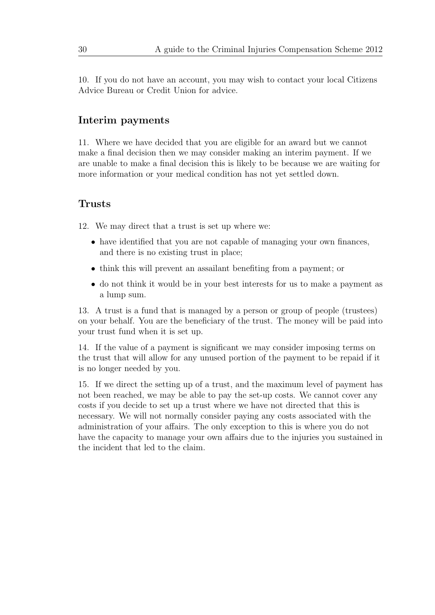10. If you do not have an account, you may wish to contact your local Citizens Advice Bureau or Credit Union for advice.

### Interim payments

<span id="page-35-0"></span>11. Where we have decided that you are eligible for an award but we cannot make a final decision then we may consider making an interim payment. If we are unable to make a final decision this is likely to be because we are waiting for more information or your medical condition has not yet settled down.

### Trusts

<span id="page-35-1"></span>12. We may direct that a trust is set up where we:

- have identified that you are not capable of managing your own finances, and there is no existing trust in place;
- think this will prevent an assailant benefiting from a payment; or
- do not think it would be in your best interests for us to make a payment as a lump sum.

13. A trust is a fund that is managed by a person or group of people (trustees) on your behalf. You are the beneficiary of the trust. The money will be paid into your trust fund when it is set up.

14. If the value of a payment is significant we may consider imposing terms on the trust that will allow for any unused portion of the payment to be repaid if it is no longer needed by you.

15. If we direct the setting up of a trust, and the maximum level of payment has not been reached, we may be able to pay the set-up costs. We cannot cover any costs if you decide to set up a trust where we have not directed that this is necessary. We will not normally consider paying any costs associated with the administration of your affairs. The only exception to this is where you do not have the capacity to manage your own affairs due to the injuries you sustained in the incident that led to the claim.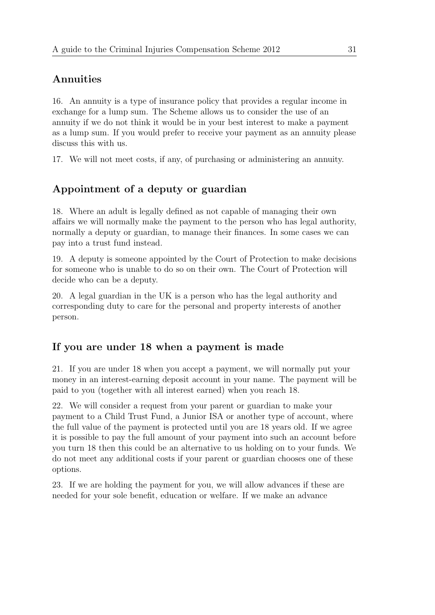# Annuities

16. An annuity is a type of insurance policy that provides a regular income in exchange for a lump sum. The Scheme allows us to consider the use of an annuity if we do not think it would be in your best interest to make a payment as a lump sum. If you would prefer to receive your payment as an annuity please discuss this with us.

17. We will not meet costs, if any, of purchasing or administering an annuity.

# Appointment of a deputy or guardian

18. Where an adult is legally defined as not capable of managing their own affairs we will normally make the payment to the person who has legal authority, normally a deputy or guardian, to manage their finances. In some cases we can pay into a trust fund instead.

19. A deputy is someone appointed by the Court of Protection to make decisions for someone who is unable to do so on their own. The Court of Protection will decide who can be a deputy.

20. A legal guardian in the UK is a person who has the legal authority and corresponding duty to care for the personal and property interests of another person.

# If you are under 18 when a payment is made

21. If you are under 18 when you accept a payment, we will normally put your money in an interest-earning deposit account in your name. The payment will be paid to you (together with all interest earned) when you reach 18.

22. We will consider a request from your parent or guardian to make your payment to a Child Trust Fund, a Junior ISA or another type of account, where the full value of the payment is protected until you are 18 years old. If we agree it is possible to pay the full amount of your payment into such an account before you turn 18 then this could be an alternative to us holding on to your funds. We do not meet any additional costs if your parent or guardian chooses one of these options.

23. If we are holding the payment for you, we will allow advances if these are needed for your sole benefit, education or welfare. If we make an advance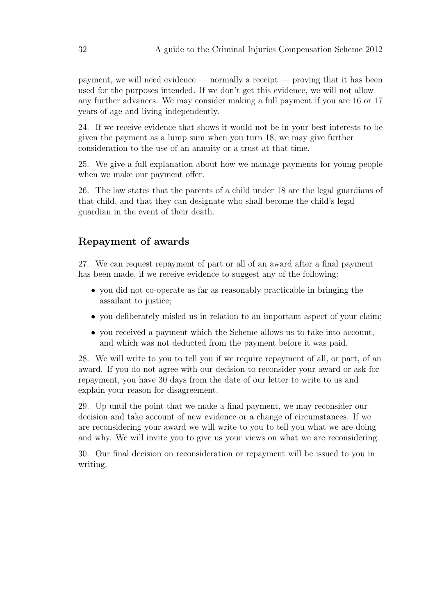payment, we will need evidence — normally a receipt — proving that it has been used for the purposes intended. If we don't get this evidence, we will not allow any further advances. We may consider making a full payment if you are 16 or 17 years of age and living independently.

24. If we receive evidence that shows it would not be in your best interests to be given the payment as a lump sum when you turn 18, we may give further consideration to the use of an annuity or a trust at that time.

25. We give a full explanation about how we manage payments for young people when we make our payment offer.

26. The law states that the parents of a child under 18 are the legal guardians of that child, and that they can designate who shall become the child's legal guardian in the event of their death.

### Repayment of awards

27. We can request repayment of part or all of an award after a final payment has been made, if we receive evidence to suggest any of the following:

- you did not co-operate as far as reasonably practicable in bringing the assailant to justice;
- you deliberately misled us in relation to an important aspect of your claim;
- you received a payment which the Scheme allows us to take into account, and which was not deducted from the payment before it was paid.

28. We will write to you to tell you if we require repayment of all, or part, of an award. If you do not agree with our decision to reconsider your award or ask for repayment, you have 30 days from the date of our letter to write to us and explain your reason for disagreement.

29. Up until the point that we make a final payment, we may reconsider our decision and take account of new evidence or a change of circumstances. If we are reconsidering your award we will write to you to tell you what we are doing and why. We will invite you to give us your views on what we are reconsidering.

30. Our final decision on reconsideration or repayment will be issued to you in writing.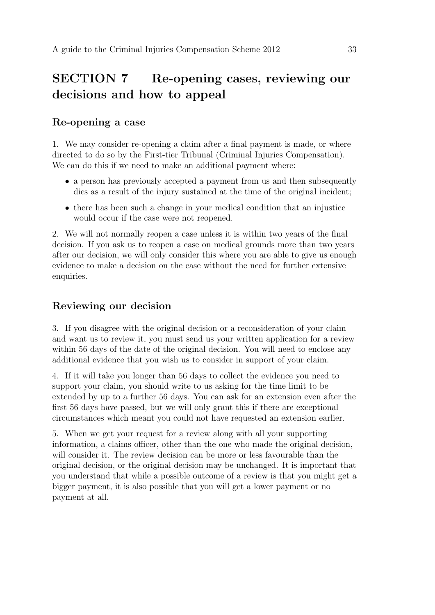# SECTION 7 — Re-opening cases, reviewing our decisions and how to appeal

# Re-opening a case

1. We may consider re-opening a claim after a final payment is made, or where directed to do so by the First-tier Tribunal (Criminal Injuries Compensation). We can do this if we need to make an additional payment where:

- a person has previously accepted a payment from us and then subsequently dies as a result of the injury sustained at the time of the original incident;
- there has been such a change in your medical condition that an injustice would occur if the case were not reopened.

2. We will not normally reopen a case unless it is within two years of the final decision. If you ask us to reopen a case on medical grounds more than two years after our decision, we will only consider this where you are able to give us enough evidence to make a decision on the case without the need for further extensive enquiries.

# Reviewing our decision

3. If you disagree with the original decision or a reconsideration of your claim and want us to review it, you must send us your written application for a review within 56 days of the date of the original decision. You will need to enclose any additional evidence that you wish us to consider in support of your claim.

4. If it will take you longer than 56 days to collect the evidence you need to support your claim, you should write to us asking for the time limit to be extended by up to a further 56 days. You can ask for an extension even after the first 56 days have passed, but we will only grant this if there are exceptional circumstances which meant you could not have requested an extension earlier.

5. When we get your request for a review along with all your supporting information, a claims officer, other than the one who made the original decision, will consider it. The review decision can be more or less favourable than the original decision, or the original decision may be unchanged. It is important that you understand that while a possible outcome of a review is that you might get a bigger payment, it is also possible that you will get a lower payment or no payment at all.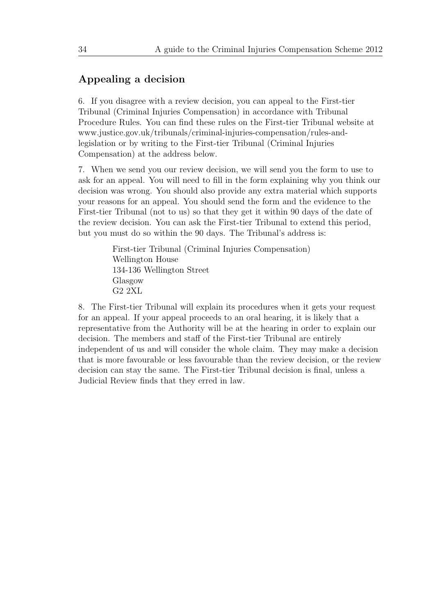## Appealing a decision

6. If you disagree with a review decision, you can appeal to the First-tier Tribunal (Criminal Injuries Compensation) in accordance with Tribunal Procedure Rules. You can find these rules on the First-tier Tribunal website at [www.justice.gov.uk/tribunals/criminal-injuries-compensation/rules-and](http://www.justice.gov.uk/tribunals/criminal-injuries-compensation/rules-and-legislation)[legislation](http://www.justice.gov.uk/tribunals/criminal-injuries-compensation/rules-and-legislation) or by writing to the First-tier Tribunal (Criminal Injuries Compensation) at the address below.

7. When we send you our review decision, we will send you the form to use to ask for an appeal. You will need to fill in the form explaining why you think our decision was wrong. You should also provide any extra material which supports your reasons for an appeal. You should send the form and the evidence to the First-tier Tribunal (not to us) so that they get it within 90 days of the date of the review decision. You can ask the First-tier Tribunal to extend this period, but you must do so within the 90 days. The Tribunal's address is:

> First-tier Tribunal (Criminal Injuries Compensation) Wellington House 134-136 Wellington Street Glasgow G2 2XL

8. The First-tier Tribunal will explain its procedures when it gets your request for an appeal. If your appeal proceeds to an oral hearing, it is likely that a representative from the Authority will be at the hearing in order to explain our decision. The members and staff of the First-tier Tribunal are entirely independent of us and will consider the whole claim. They may make a decision that is more favourable or less favourable than the review decision, or the review decision can stay the same. The First-tier Tribunal decision is final, unless a Judicial Review finds that they erred in law.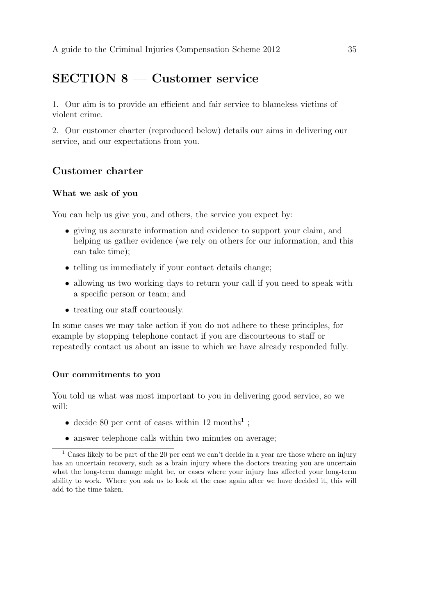# SECTION 8 — Customer service

1. Our aim is to provide an efficient and fair service to blameless victims of violent crime.

2. Our customer charter (reproduced below) details our aims in delivering our service, and our expectations from you.

### Customer charter

### What we ask of you

You can help us give you, and others, the service you expect by:

- giving us accurate information and evidence to support your claim, and helping us gather evidence (we rely on others for our information, and this can take time);
- telling us immediately if your contact details change;
- allowing us two working days to return your call if you need to speak with a specific person or team; and
- treating our staff courteously.

In some cases we may take action if you do not adhere to these principles, for example by stopping telephone contact if you are discourteous to staff or repeatedly contact us about an issue to which we have already responded fully.

#### Our commitments to you

You told us what was most important to you in delivering good service, so we will:

- decide 80 per cent of cases within 12 months<sup>1</sup>;
- answer telephone calls within two minutes on average:

<sup>&</sup>lt;sup>1</sup> Cases likely to be part of the 20 per cent we can't decide in a year are those where an injury has an uncertain recovery, such as a brain injury where the doctors treating you are uncertain what the long-term damage might be, or cases where your injury has affected your long-term ability to work. Where you ask us to look at the case again after we have decided it, this will add to the time taken.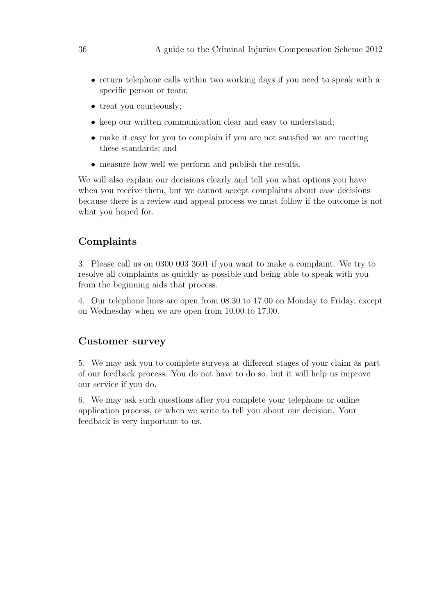- return telephone calls within two working days if you need to speak with a specific person or team;
- treat you courteously;
- keep our written communication clear and easy to understand;
- make it easy for you to complain if you are not satisfied we are meeting these standards; and
- measure how well we perform and publish the results.

We will also explain our decisions clearly and tell you what options you have when you receive them, but we cannot accept complaints about case decisions because there is a review and appeal process we must follow if the outcome is not what you hoped for.

### Complaints

3. Please call us on 0300 003 3601 if you want to make a complaint. We try to resolve all complaints as quickly as possible and being able to speak with you from the beginning aids that process.

4. Our telephone lines are open from 08.30 to 17.00 on Monday to Friday, except on Wednesday when we are open from 10.00 to 17.00.

### Customer survey

5. We may ask you to complete surveys at different stages of your claim as part of our feedback process. You do not have to do so, but it will help us improve our service if you do.

6. We may ask such questions after you complete your telephone or online application process, or when we write to tell you about our decision. Your feedback is very important to us.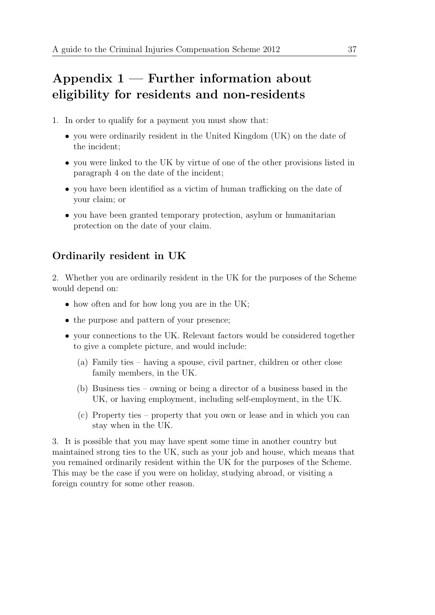# Appendix  $1$  — Further information about eligibility for residents and non-residents

- 1. In order to qualify for a payment you must show that:
	- you were ordinarily resident in the United Kingdom (UK) on the date of the incident;
	- you were linked to the UK by virtue of one of the other provisions listed in paragraph 4 on the date of the incident;
	- you have been identified as a victim of human trafficking on the date of your claim; or
	- you have been granted temporary protection, asylum or humanitarian protection on the date of your claim.

# Ordinarily resident in UK

2. Whether you are ordinarily resident in the UK for the purposes of the Scheme would depend on:

- how often and for how long you are in the UK;
- the purpose and pattern of your presence;
- your connections to the UK. Relevant factors would be considered together to give a complete picture, and would include:
	- (a) Family ties having a spouse, civil partner, children or other close family members, in the UK.
	- (b) Business ties owning or being a director of a business based in the UK, or having employment, including self-employment, in the UK.
	- (c) Property ties property that you own or lease and in which you can stay when in the UK.

3. It is possible that you may have spent some time in another country but maintained strong ties to the UK, such as your job and house, which means that you remained ordinarily resident within the UK for the purposes of the Scheme. This may be the case if you were on holiday, studying abroad, or visiting a foreign country for some other reason.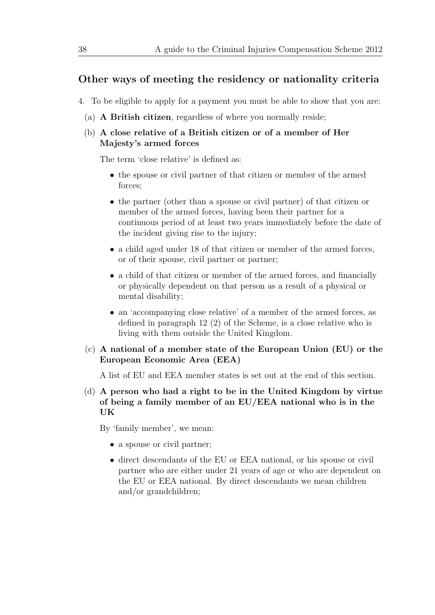### Other ways of meeting the residency or nationality criteria

- 4. To be eligible to apply for a payment you must be able to show that you are:
	- (a) A British citizen, regardless of where you normally reside;
	- (b) A close relative of a British citizen or of a member of Her Majesty's armed forces

The term 'close relative' is defined as:

- the spouse or civil partner of that citizen or member of the armed forces;
- the partner (other than a spouse or civil partner) of that citizen or member of the armed forces, having been their partner for a continuous period of at least two years immediately before the date of the incident giving rise to the injury;
- a child aged under 18 of that citizen or member of the armed forces, or of their spouse, civil partner or partner;
- a child of that citizen or member of the armed forces, and financially or physically dependent on that person as a result of a physical or mental disability;
- an 'accompanying close relative' of a member of the armed forces, as defined in paragraph 12 (2) of the Scheme, is a close relative who is living with them outside the United Kingdom.
- (c) A national of a member state of the European Union (EU) or the European Economic Area (EEA)

A list of EU and EEA member states is set out at the end of this section.

(d) A person who had a right to be in the United Kingdom by virtue of being a family member of an EU/EEA national who is in the **UK** 

By 'family member', we mean:

- a spouse or civil partner;
- direct descendants of the EU or EEA national, or his spouse or civil partner who are either under 21 years of age or who are dependent on the EU or EEA national. By direct descendants we mean children and/or grandchildren;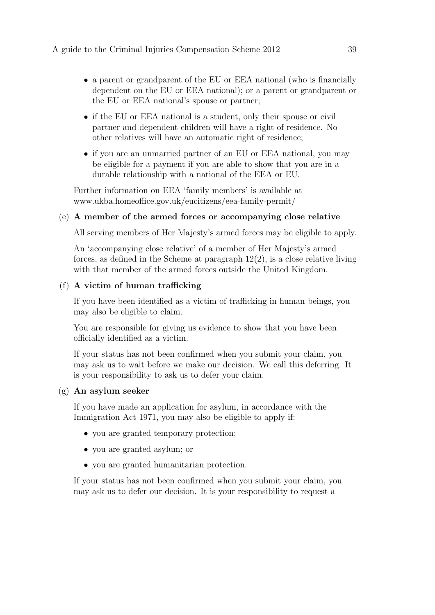- a parent or grandparent of the EU or EEA national (who is financially dependent on the EU or EEA national); or a parent or grandparent or the EU or EEA national's spouse or partner;
- if the EU or EEA national is a student, only their spouse or civil partner and dependent children will have a right of residence. No other relatives will have an automatic right of residence;
- if you are an unmarried partner of an EU or EEA national, you may be eligible for a payment if you are able to show that you are in a durable relationship with a national of the EEA or EU.

Further information on EEA 'family members' is available at [www.ukba.homeoffice.gov.uk/eucitizens/eea-family-permit/](http://www.ukba.homeoffice.gov.uk/eucitizens/eea-family-permit/)

#### (e) A member of the armed forces or accompanying close relative

All serving members of Her Majesty's armed forces may be eligible to apply.

An 'accompanying close relative' of a member of Her Majesty's armed forces, as defined in the Scheme at paragraph 12(2), is a close relative living with that member of the armed forces outside the United Kingdom.

### (f) A victim of human trafficking

If you have been identified as a victim of trafficking in human beings, you may also be eligible to claim.

You are responsible for giving us evidence to show that you have been officially identified as a victim.

If your status has not been confirmed when you submit your claim, you may ask us to wait before we make our decision. We call this deferring. It is your responsibility to ask us to defer your claim.

#### (g) An asylum seeker

If you have made an application for asylum, in accordance with the Immigration Act 1971, you may also be eligible to apply if:

- you are granted temporary protection;
- you are granted asylum; or
- you are granted humanitarian protection.

If your status has not been confirmed when you submit your claim, you may ask us to defer our decision. It is your responsibility to request a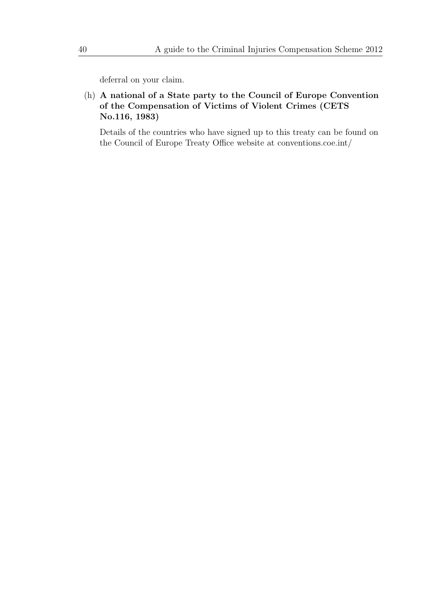deferral on your claim.

(h) A national of a State party to the Council of Europe Convention of the Compensation of Victims of Violent Crimes (CETS No.116, 1983)

Details of the countries who have signed up to this treaty can be found on the Council of Europe Treaty Office website at [conventions.coe.int/](http://conventions.coe.int/)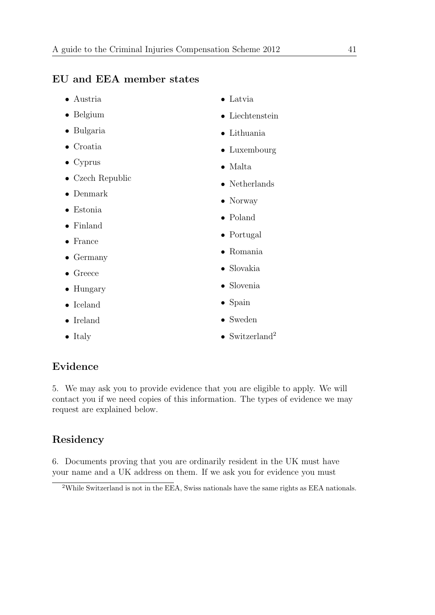## EU and EEA member states

- Austria
- Belgium
- Bulgaria
- Croatia
- Cyprus
- Czech Republic
- Denmark
- Estonia
- Finland
- France
- Germany
- Greece
- Hungary
- Iceland
- Ireland
- Italy
- Latvia
- Liechtenstein
- Lithuania
- Luxembourg
- Malta
- Netherlands
- Norway
- Poland
- Portugal
- Romania
- Slovakia
- Slovenia
- Spain
- Sweden
- Switzerland<sup>2</sup>

# Evidence

5. We may ask you to provide evidence that you are eligible to apply. We will contact you if we need copies of this information. The types of evidence we may request are explained below.

# Residency

6. Documents proving that you are ordinarily resident in the UK must have your name and a UK address on them. If we ask you for evidence you must

<sup>2</sup>While Switzerland is not in the EEA, Swiss nationals have the same rights as EEA nationals.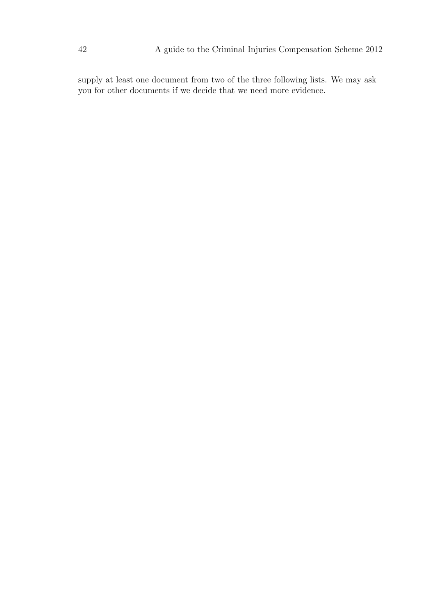supply at least one document from two of the three following lists. We may ask you for other documents if we decide that we need more evidence.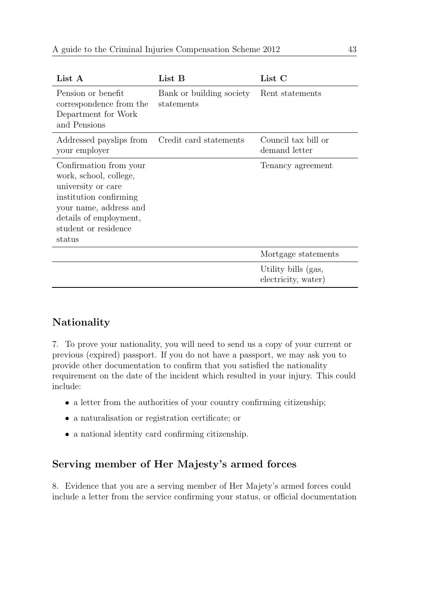| List A                                                                                                                                                                                 | List B                                 | List C                                     |
|----------------------------------------------------------------------------------------------------------------------------------------------------------------------------------------|----------------------------------------|--------------------------------------------|
| Pension or benefit<br>correspondence from the<br>Department for Work<br>and Pensions                                                                                                   | Bank or building society<br>statements | Rent statements                            |
| Addressed payslips from<br>your employer                                                                                                                                               | Credit card statements                 | Council tax bill or<br>demand letter       |
| Confirmation from your<br>work, school, college,<br>university or care<br>institution confirming<br>your name, address and<br>details of employment,<br>student or residence<br>status |                                        | Tenancy agreement                          |
|                                                                                                                                                                                        |                                        | Mortgage statements                        |
|                                                                                                                                                                                        |                                        | Utility bills (gas,<br>electricity, water) |

### Nationality

7. To prove your nationality, you will need to send us a copy of your current or previous (expired) passport. If you do not have a passport, we may ask you to provide other documentation to confirm that you satisfied the nationality requirement on the date of the incident which resulted in your injury. This could include:

- a letter from the authorities of your country confirming citizenship;
- a naturalisation or registration certificate; or
- a national identity card confirming citizenship.

# Serving member of Her Majesty's armed forces

8. Evidence that you are a serving member of Her Majety's armed forces could include a letter from the service confirming your status, or official documentation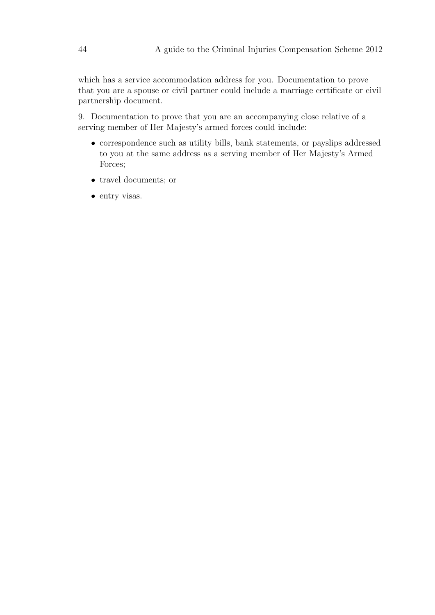which has a service accommodation address for you. Documentation to prove that you are a spouse or civil partner could include a marriage certificate or civil partnership document.

9. Documentation to prove that you are an accompanying close relative of a serving member of Her Majesty's armed forces could include:

- correspondence such as utility bills, bank statements, or payslips addressed to you at the same address as a serving member of Her Majesty's Armed Forces;
- travel documents; or
- entry visas.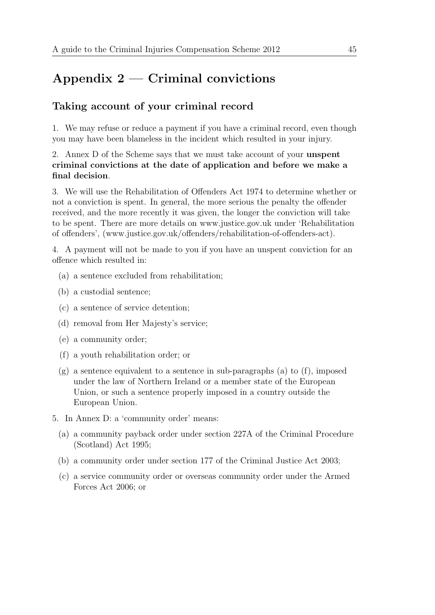# Appendix 2 — Criminal convictions

## Taking account of your criminal record

1. We may refuse or reduce a payment if you have a criminal record, even though you may have been blameless in the incident which resulted in your injury.

### 2. Annex D of the Scheme says that we must take account of your unspent criminal convictions at the date of application and before we make a final decision.

3. We will use the Rehabilitation of Offenders Act 1974 to determine whether or not a conviction is spent. In general, the more serious the penalty the offender received, and the more recently it was given, the longer the conviction will take to be spent. There are more details on www.justice.gov.uk under 'Rehabilitation of offenders', [\(www.justice.gov.uk/offenders/rehabilitation-of-offenders-act\)](http://www.justice.gov.uk/offenders/rehabilitation-of-offenders-act).

4. A payment will not be made to you if you have an unspent conviction for an offence which resulted in:

- (a) a sentence excluded from rehabilitation;
- (b) a custodial sentence;
- (c) a sentence of service detention;
- (d) removal from Her Majesty's service;
- (e) a community order;
- (f) a youth rehabilitation order; or
- $(g)$  a sentence equivalent to a sentence in sub-paragraphs (a) to (f), imposed under the law of Northern Ireland or a member state of the European Union, or such a sentence properly imposed in a country outside the European Union.
- 5. In Annex D: a 'community order' means:
	- (a) a community payback order under section 227A of the Criminal Procedure (Scotland) Act 1995;
	- (b) a community order under section 177 of the Criminal Justice Act 2003;
	- (c) a service community order or overseas community order under the Armed Forces Act 2006; or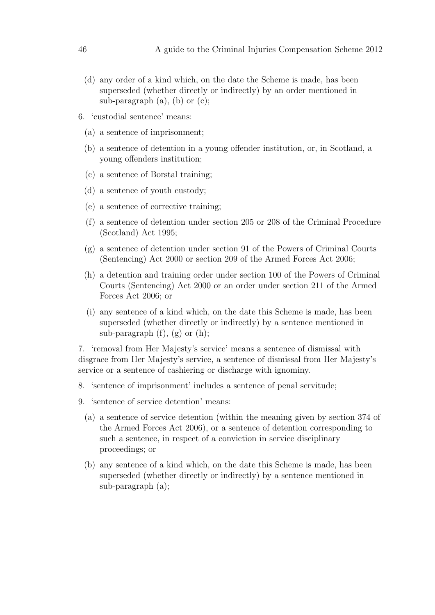- (d) any order of a kind which, on the date the Scheme is made, has been superseded (whether directly or indirectly) by an order mentioned in sub-paragraph  $(a)$ ,  $(b)$  or  $(c)$ ;
- 6. 'custodial sentence' means:
	- (a) a sentence of imprisonment;
	- (b) a sentence of detention in a young offender institution, or, in Scotland, a young offenders institution;
	- (c) a sentence of Borstal training;
	- (d) a sentence of youth custody;
	- (e) a sentence of corrective training;
	- (f) a sentence of detention under section 205 or 208 of the Criminal Procedure (Scotland) Act 1995;
	- (g) a sentence of detention under section 91 of the Powers of Criminal Courts (Sentencing) Act 2000 or section 209 of the Armed Forces Act 2006;
	- (h) a detention and training order under section 100 of the Powers of Criminal Courts (Sentencing) Act 2000 or an order under section 211 of the Armed Forces Act 2006; or
	- (i) any sentence of a kind which, on the date this Scheme is made, has been superseded (whether directly or indirectly) by a sentence mentioned in sub-paragraph  $(f)$ ,  $(g)$  or  $(h)$ ;

7. 'removal from Her Majesty's service' means a sentence of dismissal with disgrace from Her Majesty's service, a sentence of dismissal from Her Majesty's service or a sentence of cashiering or discharge with ignominy.

- 8. 'sentence of imprisonment' includes a sentence of penal servitude;
- 9. 'sentence of service detention' means:
	- (a) a sentence of service detention (within the meaning given by section 374 of the Armed Forces Act 2006), or a sentence of detention corresponding to such a sentence, in respect of a conviction in service disciplinary proceedings; or
	- (b) any sentence of a kind which, on the date this Scheme is made, has been superseded (whether directly or indirectly) by a sentence mentioned in sub-paragraph (a);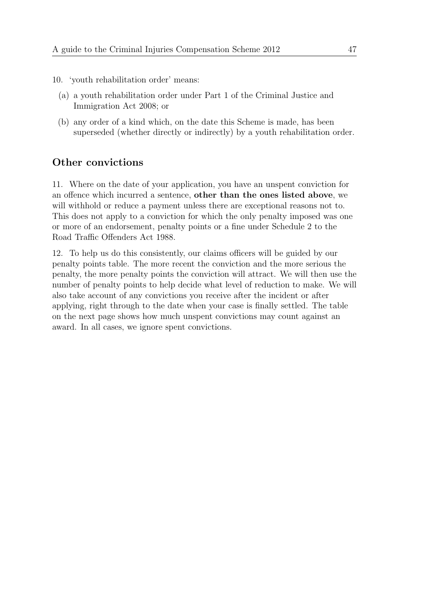- 10. 'youth rehabilitation order' means:
	- (a) a youth rehabilitation order under Part 1 of the Criminal Justice and Immigration Act 2008; or
	- (b) any order of a kind which, on the date this Scheme is made, has been superseded (whether directly or indirectly) by a youth rehabilitation order.

### Other convictions

11. Where on the date of your application, you have an unspent conviction for an offence which incurred a sentence, other than the ones listed above, we will withhold or reduce a payment unless there are exceptional reasons not to. This does not apply to a conviction for which the only penalty imposed was one or more of an endorsement, penalty points or a fine under Schedule 2 to the Road Traffic Offenders Act 1988.

12. To help us do this consistently, our claims officers will be guided by our penalty points table. The more recent the conviction and the more serious the penalty, the more penalty points the conviction will attract. We will then use the number of penalty points to help decide what level of reduction to make. We will also take account of any convictions you receive after the incident or after applying, right through to the date when your case is finally settled. The table on the next page shows how much unspent convictions may count against an award. In all cases, we ignore spent convictions.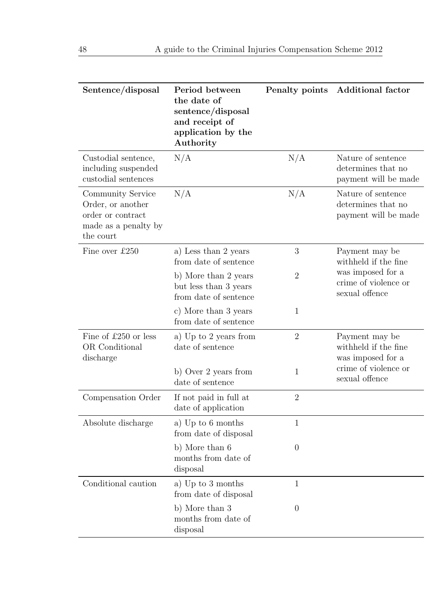| Sentence/disposal                                                                                | Period between<br>the date of<br>sentence/disposal<br>and receipt of<br>application by the<br>Authority | Penalty points | <b>Additional factor</b>                                         |
|--------------------------------------------------------------------------------------------------|---------------------------------------------------------------------------------------------------------|----------------|------------------------------------------------------------------|
| Custodial sentence,<br>including suspended<br>custodial sentences                                | N/A                                                                                                     | N/A            | Nature of sentence<br>determines that no<br>payment will be made |
| Community Service<br>Order, or another<br>order or contract<br>made as a penalty by<br>the court | N/A                                                                                                     | N/A            | Nature of sentence<br>determines that no<br>payment will be made |
| Fine over £250                                                                                   | a) Less than 2 years<br>from date of sentence                                                           | 3              | Payment may be<br>withheld if the fine                           |
|                                                                                                  | b) More than 2 years<br>but less than 3 years<br>from date of sentence                                  | $\overline{2}$ | was imposed for a<br>crime of violence or<br>sexual offence      |
|                                                                                                  | c) More than 3 years<br>from date of sentence                                                           | $\mathbf{1}$   |                                                                  |
| Fine of £250 or less<br>OR Conditional<br>discharge                                              | a) Up to 2 years from<br>date of sentence                                                               | $\overline{2}$ | Payment may be<br>withheld if the fine<br>was imposed for a      |
|                                                                                                  | b) Over 2 years from<br>date of sentence                                                                | 1              | crime of violence or<br>sexual offence                           |
| Compensation Order                                                                               | If not paid in full at<br>date of application                                                           | $\overline{2}$ |                                                                  |
| Absolute discharge                                                                               | a) Up to 6 months<br>from date of disposal                                                              | $\mathbf{1}$   |                                                                  |
|                                                                                                  | b) More than 6<br>months from date of<br>disposal                                                       | $\theta$       |                                                                  |
| Conditional caution                                                                              | a) Up to 3 months<br>from date of disposal                                                              | 1              |                                                                  |
|                                                                                                  | b) More than 3<br>months from date of<br>disposal                                                       | $\theta$       |                                                                  |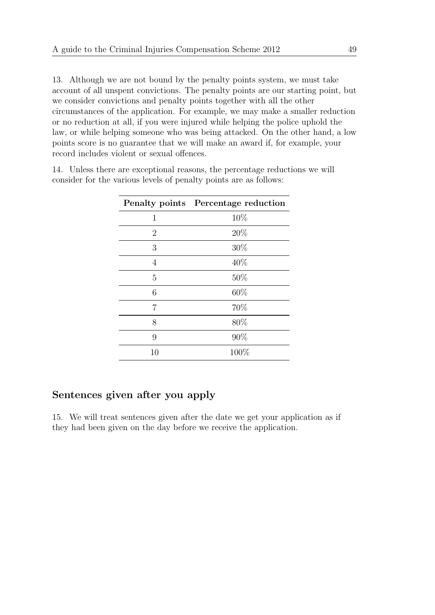13. Although we are not bound by the penalty points system, we must take account of all unspent convictions. The penalty points are our starting point, but we consider convictions and penalty points together with all the other circumstances of the application. For example, we may make a smaller reduction or no reduction at all, if you were injured while helping the police uphold the law, or while helping someone who was being attacked. On the other hand, a low points score is no guarantee that we will make an award if, for example, your record includes violent or sexual offences.

14. Unless there are exceptional reasons, the percentage reductions we will consider for the various levels of penalty points are as follows:

|                | Penalty points Percentage reduction |
|----------------|-------------------------------------|
| 1              | 10%                                 |
| $\overline{2}$ | 20%                                 |
| 3              | 30%                                 |
| $\overline{4}$ | 40%                                 |
| 5              | 50%                                 |
| 6              | 60%                                 |
| 7              | 70%                                 |
| 8              | 80%                                 |
| 9              | 90%                                 |
| 10             | 100%                                |
|                |                                     |

# Sentences given after you apply

15. We will treat sentences given after the date we get your application as if they had been given on the day before we receive the application.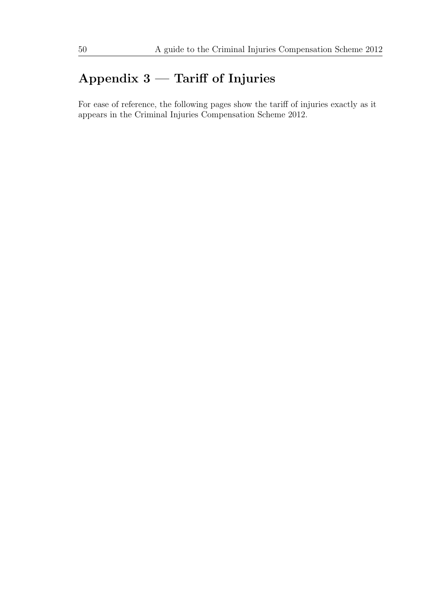# Appendix 3 — Tariff of Injuries

For ease of reference, the following pages show the tariff of injuries exactly as it appears in the Criminal Injuries Compensation Scheme 2012.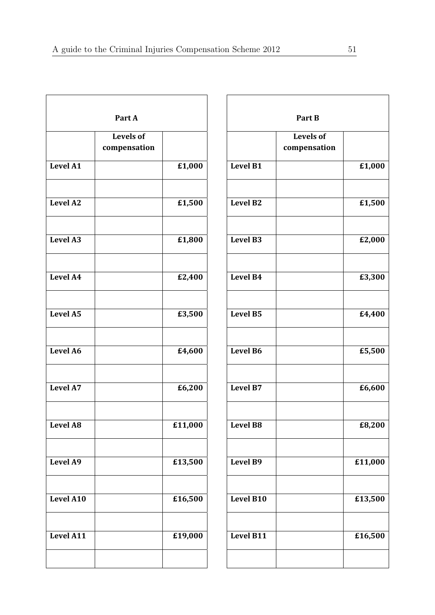|                 | Part A                           |                             |                  | Part B                           |         |
|-----------------|----------------------------------|-----------------------------|------------------|----------------------------------|---------|
|                 | <b>Levels of</b><br>compensation |                             |                  | <b>Levels of</b><br>compensation |         |
| <b>Level A1</b> |                                  | £1,000                      | <b>Level B1</b>  |                                  | £1,000  |
| Level A2        |                                  | £1,500                      | Level B2         |                                  | £1,500  |
| <b>Level A3</b> |                                  | £1,800                      | <b>Level B3</b>  |                                  | £2,000  |
| Level A4        |                                  | £2,400                      | Level B4         |                                  | £3,300  |
| <b>Level A5</b> |                                  | £3,500                      | <b>Level B5</b>  |                                  | £4,400  |
| <b>Level A6</b> |                                  | £4,600                      | <b>Level B6</b>  |                                  | £5,500  |
| Level A7        |                                  | £6,200                      | <b>Level B7</b>  |                                  | £6,600  |
| Level A8        |                                  | $\overline{\text{£}11,000}$ | Level B8         |                                  | £8,200  |
| Level A9        |                                  | £13,500                     | Level B9         |                                  | £11,000 |
| Level A10       |                                  | £16,500                     | Level B10        |                                  | £13,500 |
| Level A11       |                                  | £19,000                     | <b>Level B11</b> |                                  | £16,500 |
|                 |                                  |                             |                  |                                  |         |

| Part B           |                                  |                      |
|------------------|----------------------------------|----------------------|
|                  | <b>Levels of</b><br>compensation |                      |
| <b>Level B1</b>  |                                  | £1,000               |
| <b>Level B2</b>  |                                  | £1,500               |
| <b>Level B3</b>  |                                  | £2,000               |
| <b>Level B4</b>  |                                  | $\overline{E}3,300$  |
| <b>Level B5</b>  |                                  | £4,400               |
| Level B6         |                                  | $\overline{t}$ 5,500 |
| <b>Level B7</b>  |                                  | £6,600               |
| <b>Level B8</b>  |                                  | £8,200               |
| <b>Level B9</b>  |                                  | £11,000              |
| Level B10        |                                  | £13,500              |
| <b>Level B11</b> |                                  | £16,500              |
|                  |                                  |                      |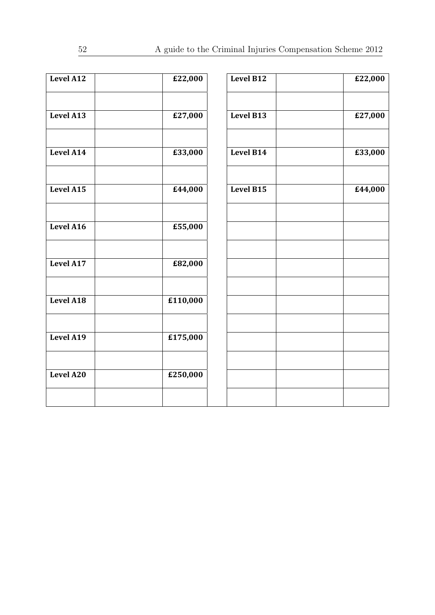| Level A12 | £22,000  | Level B12        | £22,000 |
|-----------|----------|------------------|---------|
| Level A13 | £27,000  | <b>Level B13</b> | £27,000 |
| Level A14 | £33,000  | Level B14        | £33,000 |
| Level A15 | £44,000  | <b>Level B15</b> | £44,000 |
| Level A16 | £55,000  |                  |         |
| Level A17 | £82,000  |                  |         |
| Level A18 | £110,000 |                  |         |
| Level A19 | £175,000 |                  |         |
| Level A20 | £250,000 |                  |         |
|           |          |                  |         |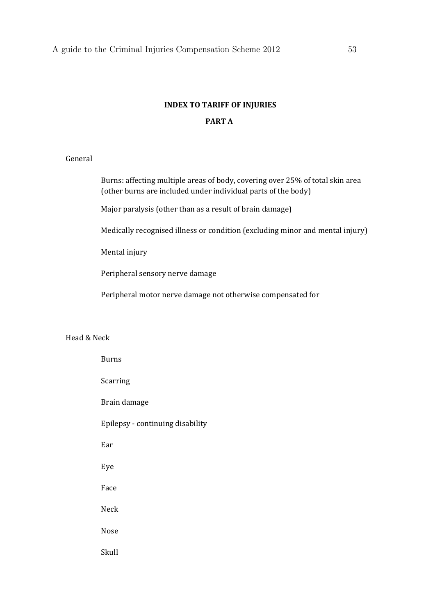# **INDEX TO TARIFF OF INJURIES PART A**

### General

Burns: affecting multiple areas of body, covering over 25% of total skin area (other burns are included under individual parts of the body)

Major paralysis (other than as a result of brain damage)

Medically recognised illness or condition (excluding minor and mental injury)

Mental injury

Peripheral sensory nerve damage

Peripheral motor nerve damage not otherwise compensated for

#### Head & Neck

| <b>Burns</b>                     |
|----------------------------------|
| Scarring                         |
| Brain damage                     |
| Epilepsy - continuing disability |
| Ear                              |
| Eye                              |
| Face                             |
| <b>Neck</b>                      |
| Nose                             |
| Skull                            |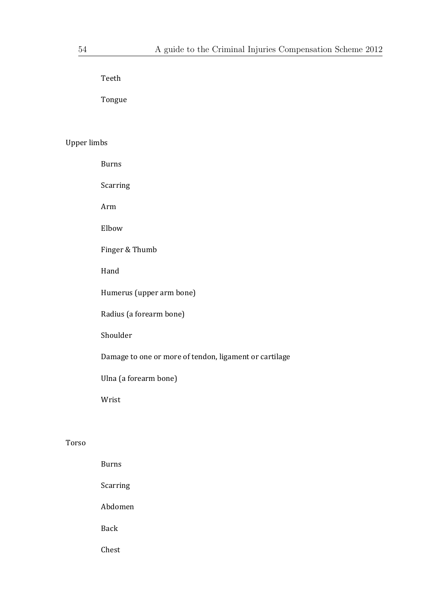Teeth 

 Tongue 

### Upper limbs

 Burns Scarring Arm Elbow Finger & Thumb Hand Humerus (upper arm bone) Radius (a forearm bone) Shoulder Damage to one or more of tendon, ligament or cartilage Ulna (a forearm bone) Wrist 

### Torso

| <b>Burns</b> |
|--------------|
| Scarring     |
| Abdomen      |
| Back         |
| Chest        |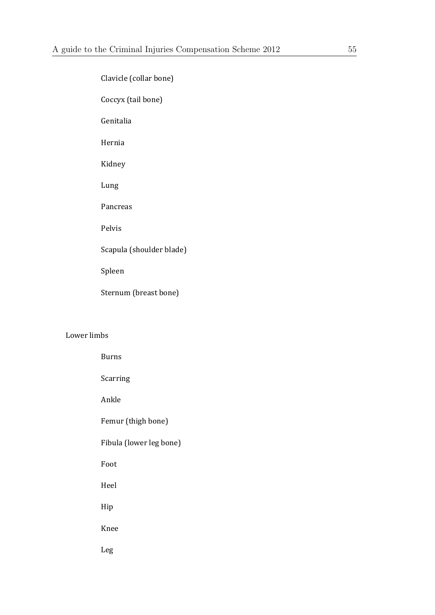| Clavicle (collar bone)   |
|--------------------------|
| Coccyx (tail bone)       |
| Genitalia                |
| Hernia                   |
| Kidney                   |
| Lung                     |
| Pancreas                 |
| Pelvis                   |
| Scapula (shoulder blade) |
| Spleen                   |
| Sternum (breast bone)    |
|                          |

### Lower limbs

| <b>Burns</b>            |
|-------------------------|
| Scarring                |
| Ankle                   |
| Femur (thigh bone)      |
| Fibula (lower leg bone) |
| Foot                    |
| Heel                    |
| Hip                     |
| Knee                    |
| Leg                     |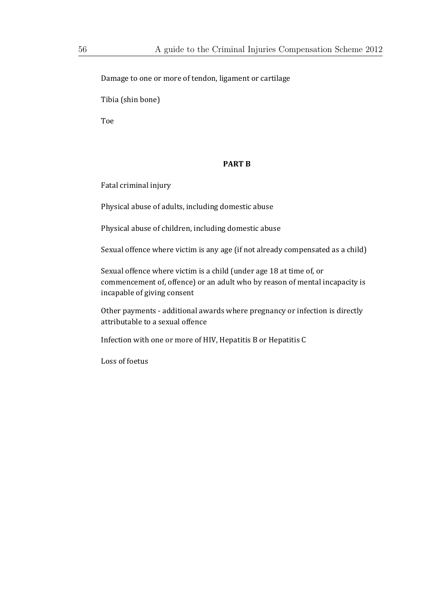Damage to one or more of tendon, ligament or cartilage

Tibia (shin bone)

 Toe 

#### **PART B**

Fatal criminal injury

Physical abuse of adults, including domestic abuse

Physical abuse of children, including domestic abuse

Sexual offence where victim is any age (if not already compensated as a child)

Sexual offence where victim is a child (under age 18 at time of, or commencement of, offence) or an adult who by reason of mental incapacity is incapable of giving consent

Other payments - additional awards where pregnancy or infection is directly attributable to a sexual offence

Infection with one or more of HIV, Hepatitis B or Hepatitis C

Loss of foetus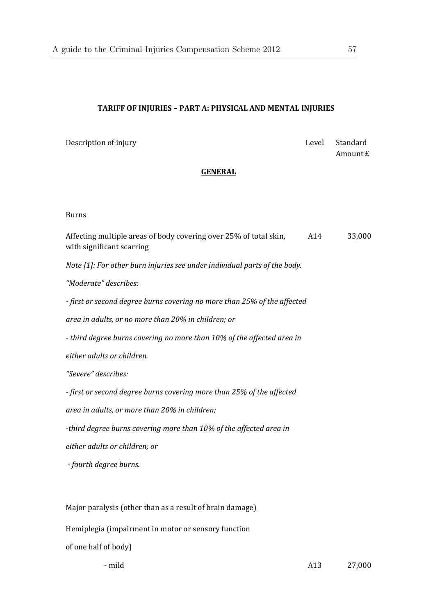### **TARIFF OF INJURIES – PART A: PHYSICAL AND MENTAL INJURIES**

Description of injury **Contract Contract Contract Contract Contract Contract Contract Contract Contract Contract Contract Contract Contract Contract Contract Contract Contract Contract Contract Contract Contract Contract C** 

Amount £

### **GENERAL**

#### Burns

Affecting multiple areas of body covering over 25% of total skin, with significant scarring A14 33,000 *Note [1]: For other burn injuries see under individual parts of the body. "Moderate" describes: ‐ first or second degree burns covering no more than 25% of the affected area in adults, or no more than 20% in children; or ‐ third degree burns covering no more than 10% of the affected area in either adults or children. "Severe" describes: ‐ first or second degree burns covering more than 25% of the affected area in adults, or more than 20% in children; ‐third degree burns covering more than 10% of the affected area in either adults or children; or ‐ fourth degree burns.* Major paralysis (other than as a result of brain damage)

Hemiplegia (impairment in motor or sensory function of one half of body)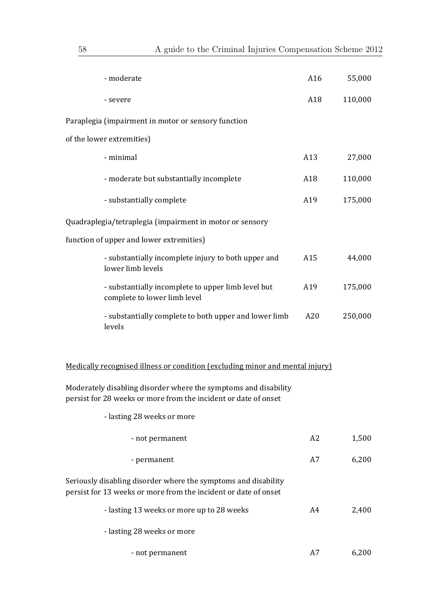| - moderate                                                                                                                         | A16            | 55,000  |
|------------------------------------------------------------------------------------------------------------------------------------|----------------|---------|
| - severe                                                                                                                           | A18            | 110,000 |
| Paraplegia (impairment in motor or sensory function                                                                                |                |         |
| of the lower extremities)                                                                                                          |                |         |
| - minimal                                                                                                                          | A13            | 27,000  |
| - moderate but substantially incomplete                                                                                            | A18            | 110,000 |
| - substantially complete                                                                                                           | A19            | 175,000 |
| Quadraplegia/tetraplegia (impairment in motor or sensory                                                                           |                |         |
| function of upper and lower extremities)                                                                                           |                |         |
| - substantially incomplete injury to both upper and<br>lower limb levels                                                           | A15            | 44,000  |
| - substantially incomplete to upper limb level but<br>complete to lower limb level                                                 | A19            | 175,000 |
| - substantially complete to both upper and lower limb<br>levels                                                                    | A20            | 250,000 |
| Medically recognised illness or condition (excluding minor and mental injury)                                                      |                |         |
| Moderately disabling disorder where the symptoms and disability<br>persist for 28 weeks or more from the incident or date of onset |                |         |
| - lasting 28 weeks or more                                                                                                         |                |         |
| - not permanent                                                                                                                    | A <sub>2</sub> | 1,500   |
| - permanent                                                                                                                        | A7             | 6,200   |
| Seriously disabling disorder where the symptoms and disability<br>persist for 13 weeks or more from the incident or date of onset  |                |         |
| - lasting 13 weeks or more up to 28 weeks                                                                                          | A4             | 2,400   |
| - lasting 28 weeks or more                                                                                                         |                |         |
| - not permanent                                                                                                                    | A7             | 6,200   |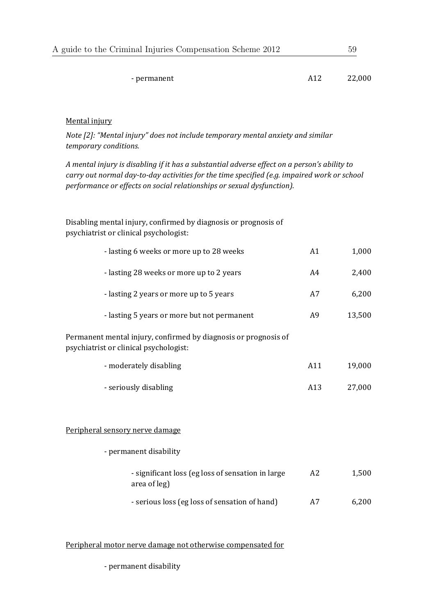| A guide to the Criminal Injuries Compensation Scheme 2012 |     | 59     |
|-----------------------------------------------------------|-----|--------|
|                                                           |     |        |
| - permanent                                               | A12 | 22,000 |

### Mental injury

*Note [2]: "Mental injury" does not include temporary mental anxiety and similar temporary conditions.*

*A mental injury is disabling if it has a substantial adverse effect on a person's ability to carry out normal day‐to‐day activities for the time specified (e.g. impaired work or school performance or effects on social relationships or sexual dysfunction).*

| psychiatrist or clinical psychologist:   |    |       |
|------------------------------------------|----|-------|
| - lasting 6 weeks or more up to 28 weeks | A1 | 1.000 |

Disabling mental injury, confirmed by diagnosis or prognosis of

| - lasting 2 years or more up to 5 years | 6,200 |
|-----------------------------------------|-------|
|                                         |       |

- lasting 28 weeks or more up to 2 years A4 2,400

| - lasting 5 years or more but not permanent | A9 | 13,500 |
|---------------------------------------------|----|--------|
|                                             |    |        |

- Permanent mental injury, confirmed by diagnosis or prognosis of psychiatrist or clinical psychologist:
	- moderately disabling and a set of the control of the A11 and 19,000 and 19,000 and 19,000 and 19,000 and 19,000 and 19,000 and 19,000 and 19,000 and 19,000 and 19,000 and 19,000 and 19,000 and 19,000 and 19,000 and 19,00
	- seriously disabling and a seriously disabling a seriously  $A13$  and  $27,000$

#### Peripheral sensory nerve damage

| - permanent disability                                             |                |       |
|--------------------------------------------------------------------|----------------|-------|
| - significant loss (eg loss of sensation in large)<br>area of leg) | A <sub>2</sub> | 1,500 |
| - serious loss (eg loss of sensation of hand)                      | A7             | 6.200 |

#### Peripheral motor nerve damage not otherwise compensated for

- permanent disability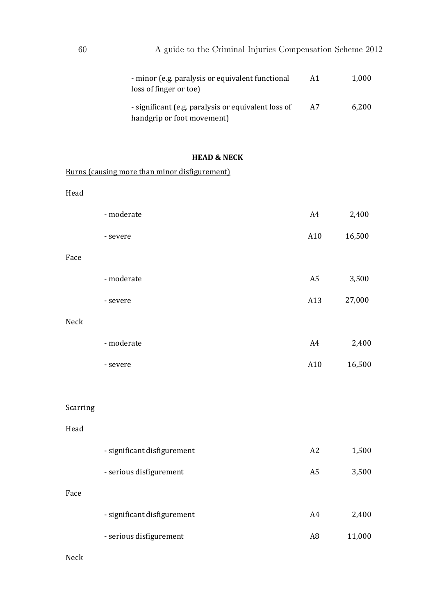|                                                                                         | 1.000 |
|-----------------------------------------------------------------------------------------|-------|
| - significant (e.g. paralysis or equivalent loss of<br>A7<br>handgrip or foot movement) | 6,200 |

## **HEAD & NECK**

|          | Burns (causing more than minor disfigurement) |                |        |
|----------|-----------------------------------------------|----------------|--------|
| Head     |                                               |                |        |
|          | - moderate                                    | A4             | 2,400  |
|          | - severe                                      | A10            | 16,500 |
| Face     |                                               |                |        |
|          | - moderate                                    | A <sub>5</sub> | 3,500  |
|          | - severe                                      | A13            | 27,000 |
| Neck     |                                               |                |        |
|          | - moderate                                    | A4             | 2,400  |
|          | - severe                                      | A10            | 16,500 |
|          |                                               |                |        |
| Scarring |                                               |                |        |
| Head     |                                               |                |        |
|          | - significant disfigurement                   | A2             | 1,500  |
|          | - serious disfigurement                       | A <sub>5</sub> | 3,500  |
| Face     |                                               |                |        |
|          | - significant disfigurement                   | A4             | 2,400  |
|          | - serious disfigurement                       | A <sub>8</sub> | 11,000 |

Neck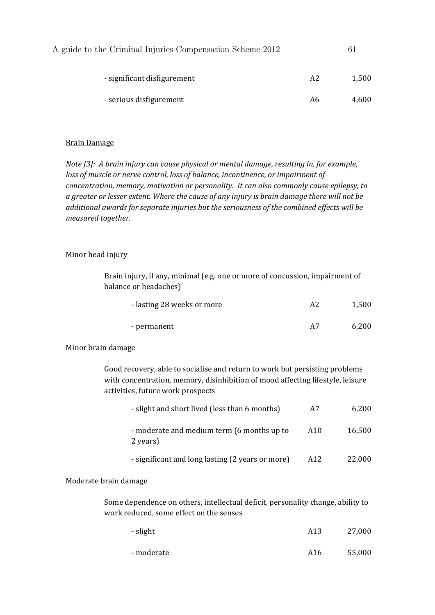| A guide to the Criminal Injuries Compensation Scheme 2012 |    | -61   |
|-----------------------------------------------------------|----|-------|
| - significant disfigurement                               | A2 | 1.500 |
| - serious disfigurement                                   | A6 | 4.600 |

### **Brain Damage**

*Note [3]: A brain injury can cause physical or mental damage, resulting in, for example, loss of muscle or nerve control, loss of balance, incontinence, or impairment of concentration, memory, motivation or personality. It can also commonly cause epilepsy, to a greater or lesser extent. Where the cause of any injury is brain damage there will not be additional awards for separate injuries but the seriousness of the combined effects will be measured together.*

### Minor head injury

Brain injury, if any, minimal (e.g. one or more of concussion, impairment of balance or headaches)

| - lasting 28 weeks or more | A2 | 1,500 |
|----------------------------|----|-------|
| - permanent                | Α7 | 6,200 |

#### Minor brain damage

Good recovery, able to socialise and return to work but persisting problems with concentration, memory, disinhibition of mood affecting lifestyle, leisure activities, future work prospects

| - slight and short lived (less than 6 months)          | A7  | 6,200  |
|--------------------------------------------------------|-----|--------|
| - moderate and medium term (6 months up to<br>2 years) | A10 | 16,500 |
| - significant and long lasting (2 years or more)       | A12 | 22,000 |

#### Moderate brain damage

Some dependence on others, intellectual deficit, personality change, ability to work reduced, some effect on the senses

| - slight   | A13 | 27,000 |
|------------|-----|--------|
| - moderate | A16 | 55,000 |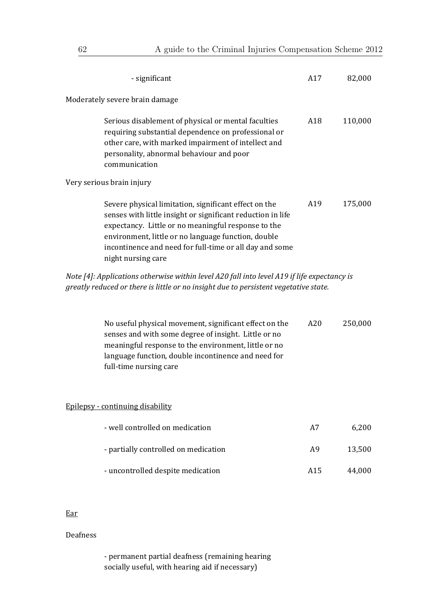| - significant                                                                                                                                                                                                                                                                                                       | A17            | 82,000  |
|---------------------------------------------------------------------------------------------------------------------------------------------------------------------------------------------------------------------------------------------------------------------------------------------------------------------|----------------|---------|
| Moderately severe brain damage                                                                                                                                                                                                                                                                                      |                |         |
| Serious disablement of physical or mental faculties<br>requiring substantial dependence on professional or<br>other care, with marked impairment of intellect and<br>personality, abnormal behaviour and poor<br>communication                                                                                      | A18            | 110,000 |
| Very serious brain injury                                                                                                                                                                                                                                                                                           |                |         |
| Severe physical limitation, significant effect on the<br>senses with little insight or significant reduction in life<br>expectancy. Little or no meaningful response to the<br>environment, little or no language function, double<br>incontinence and need for full-time or all day and some<br>night nursing care | A19            | 175,000 |
| Note [4]: Applications otherwise within level A20 fall into level A19 if life expectancy is<br>greatly reduced or there is little or no insight due to persistent vegetative state.                                                                                                                                 |                |         |
| No useful physical movement, significant effect on the<br>senses and with some degree of insight. Little or no<br>meaningful response to the environment, little or no<br>language function, double incontinence and need for<br>full-time nursing care                                                             | A20            | 250,000 |
| Epilepsy - continuing disability                                                                                                                                                                                                                                                                                    |                |         |
| - well controlled on medication                                                                                                                                                                                                                                                                                     | A7             | 6,200   |
| - partially controlled on medication                                                                                                                                                                                                                                                                                | A <sub>9</sub> | 13,500  |
| - uncontrolled despite medication                                                                                                                                                                                                                                                                                   | A15            | 44,000  |

### Ear

### Deafness

- permanent partial deafness (remaining hearing socially useful, with hearing aid if necessary)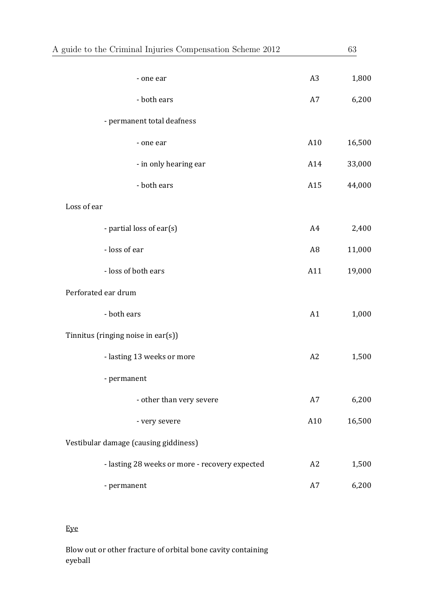| A guide to the Criminal Injuries Compensation Scheme 2012 |                | 63     |
|-----------------------------------------------------------|----------------|--------|
| - one ear                                                 | A <sub>3</sub> | 1,800  |
| - both ears                                               | A7             | 6,200  |
| - permanent total deafness                                |                |        |
| - one ear                                                 | A10            | 16,500 |
| - in only hearing ear                                     | A14            | 33,000 |
| - both ears                                               | A15            | 44,000 |
| Loss of ear                                               |                |        |
| - partial loss of ear(s)                                  | A4             | 2,400  |
| - loss of ear                                             | A <sub>8</sub> | 11,000 |
| - loss of both ears                                       | A11            | 19,000 |
| Perforated ear drum                                       |                |        |
| - both ears                                               | A1             | 1,000  |
| Tinnitus (ringing noise in ear(s))                        |                |        |
| - lasting 13 weeks or more                                | A2             | 1,500  |
| - permanent                                               |                |        |
| - other than very severe                                  | A7             | 6,200  |
| - very severe                                             | A10            | 16,500 |
| Vestibular damage (causing giddiness)                     |                |        |
| - lasting 28 weeks or more - recovery expected            | A2             | 1,500  |
| - permanent                                               | A7             | 6,200  |

# Eye

Blow out or other fracture of orbital bone cavity containing eyeball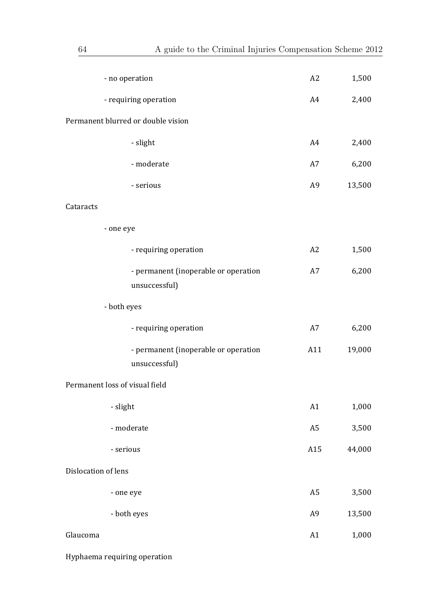| - no operation                                        | A2             | 1,500  |
|-------------------------------------------------------|----------------|--------|
| - requiring operation                                 | A4             | 2,400  |
| Permanent blurred or double vision                    |                |        |
| - slight                                              | A4             | 2,400  |
| - moderate                                            | A7             | 6,200  |
| - serious                                             | A <sub>9</sub> | 13,500 |
| Cataracts                                             |                |        |
| - one eye                                             |                |        |
| - requiring operation                                 | A2             | 1,500  |
| - permanent (inoperable or operation<br>unsuccessful) | A7             | 6,200  |
| - both eyes                                           |                |        |
| - requiring operation                                 | A7             | 6,200  |
| - permanent (inoperable or operation<br>unsuccessful) | A11            | 19,000 |
| Permanent loss of visual field                        |                |        |
| - slight                                              | A1             | 1,000  |
| - moderate                                            | A <sub>5</sub> | 3,500  |
| - serious                                             | A15            | 44,000 |
| Dislocation of lens                                   |                |        |
| - one eye                                             | A <sub>5</sub> | 3,500  |
| - both eyes                                           | A <sub>9</sub> | 13,500 |
| Glaucoma                                              | A1             | 1,000  |

Hyphaema requiring operation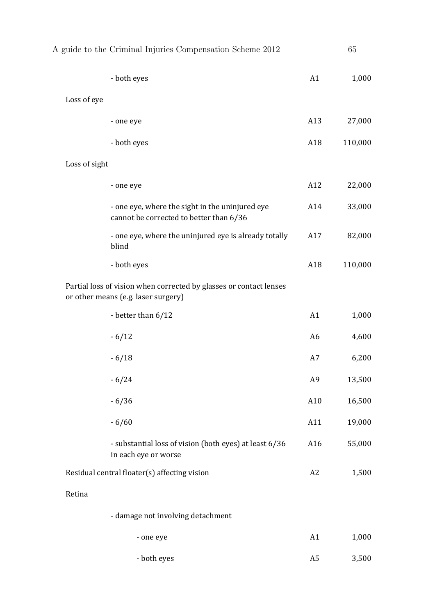| A guide to the Criminal Injuries Compensation Scheme 2012                                                 | 65             |         |  |
|-----------------------------------------------------------------------------------------------------------|----------------|---------|--|
| - both eyes                                                                                               | A1             | 1,000   |  |
| Loss of eye                                                                                               |                |         |  |
| - one eye                                                                                                 | A13            | 27,000  |  |
| - both eyes                                                                                               | A18            | 110,000 |  |
| Loss of sight                                                                                             |                |         |  |
| - one eye                                                                                                 | A12            | 22,000  |  |
| - one eye, where the sight in the uninjured eye<br>cannot be corrected to better than 6/36                | A14            | 33,000  |  |
| - one eye, where the uninjured eye is already totally<br>blind                                            | A17            | 82,000  |  |
| - both eyes                                                                                               | A18            | 110,000 |  |
| Partial loss of vision when corrected by glasses or contact lenses<br>or other means (e.g. laser surgery) |                |         |  |
| - better than 6/12                                                                                        | A1             | 1,000   |  |
| $-6/12$                                                                                                   | A <sub>6</sub> | 4,600   |  |
| $-6/18$                                                                                                   | A7             | 6,200   |  |
| $-6/24$                                                                                                   | A <sub>9</sub> | 13,500  |  |
| $-6/36$                                                                                                   | A10            | 16,500  |  |
| $-6/60$                                                                                                   | A11            | 19,000  |  |
| - substantial loss of vision (both eyes) at least 6/36<br>in each eye or worse                            | A16            | 55,000  |  |
| Residual central floater(s) affecting vision                                                              | A2             | 1,500   |  |
| Retina                                                                                                    |                |         |  |
| - damage not involving detachment                                                                         |                |         |  |
| - one eye                                                                                                 | A1             | 1,000   |  |
| - both eyes                                                                                               | A <sub>5</sub> | 3,500   |  |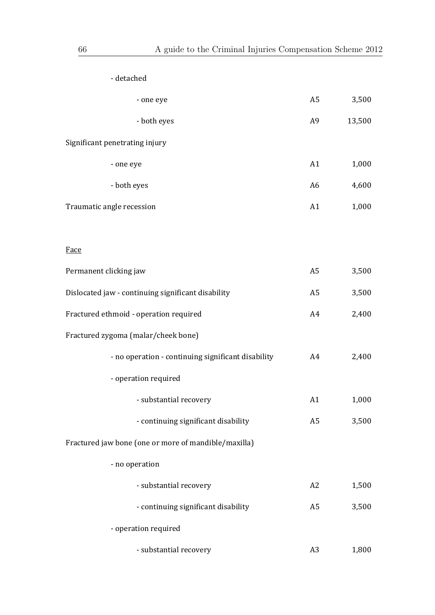| - detached                                           |                |           |
|------------------------------------------------------|----------------|-----------|
| - one eye                                            | A5             | 3,500     |
| - both eyes                                          | A <sub>9</sub> | 13,500    |
| Significant penetrating injury                       |                |           |
| - one eye                                            | A1             | 1,000     |
| - both eyes                                          | A <sub>6</sub> | 4,600     |
| Traumatic angle recession                            | A1             | 1,000     |
|                                                      |                |           |
| Face                                                 |                |           |
| Permanent clicking jaw                               | A <sub>5</sub> | 3,500     |
| Dislocated jaw - continuing significant disability   | A <sub>5</sub> | 3,500     |
| Fractured ethmoid - operation required               | A4             | 2,400     |
| Fractured zygoma (malar/cheek bone)                  |                |           |
| - no operation - continuing significant disability   | A4             | 2,400     |
| - operation required                                 |                |           |
| - substantial recovery                               | A1             | $1,\!000$ |
| - continuing significant disability                  | A <sub>5</sub> | 3,500     |
| Fractured jaw bone (one or more of mandible/maxilla) |                |           |
| - no operation                                       |                |           |
| - substantial recovery                               | A2             | 1,500     |
| - continuing significant disability                  | A <sub>5</sub> | 3,500     |
| - operation required                                 |                |           |
| - substantial recovery                               | A <sub>3</sub> | 1,800     |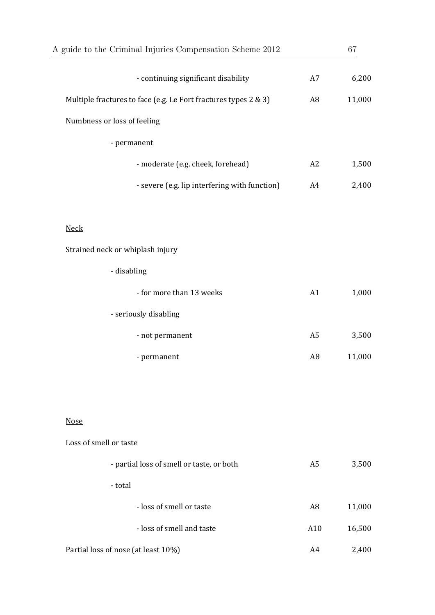| A guide to the Criminal Injuries Compensation Scheme 2012       |                | 67     |
|-----------------------------------------------------------------|----------------|--------|
| - continuing significant disability                             | A7             | 6,200  |
| Multiple fractures to face (e.g. Le Fort fractures types 2 & 3) | A <sub>8</sub> | 11,000 |
| Numbness or loss of feeling                                     |                |        |
| - permanent                                                     |                |        |
| - moderate (e.g. cheek, forehead)                               | A2             | 1,500  |
| - severe (e.g. lip interfering with function)                   | A4             | 2,400  |
| <b>Neck</b>                                                     |                |        |
| Strained neck or whiplash injury                                |                |        |
| - disabling                                                     |                |        |
| - for more than 13 weeks                                        | A1             | 1,000  |
| - seriously disabling                                           |                |        |
| - not permanent                                                 | A <sub>5</sub> | 3,500  |
| - permanent                                                     | A <sub>8</sub> | 11,000 |
|                                                                 |                |        |
|                                                                 |                |        |
| <b>Nose</b>                                                     |                |        |
| Loss of smell or taste                                          |                |        |
| - partial loss of smell or taste, or both                       | A <sub>5</sub> | 3,500  |
| - total                                                         |                |        |
| - loss of smell or taste                                        | A <sub>8</sub> | 11,000 |
| - loss of smell and taste                                       | A10            | 16,500 |
| Partial loss of nose (at least 10%)                             | A4             | 2,400  |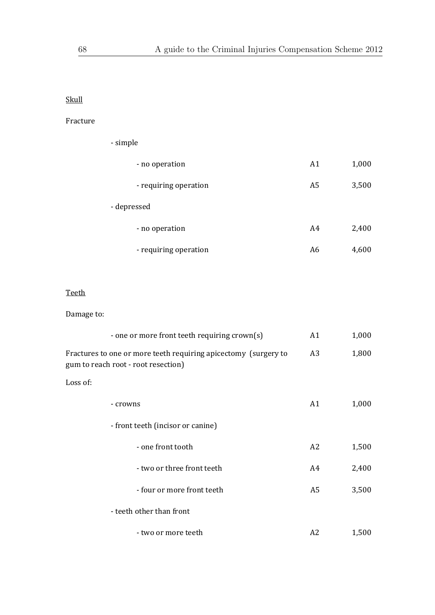### Skull

### Fracture

| - simple              |                |       |
|-----------------------|----------------|-------|
| - no operation        | A1             | 1,000 |
| - requiring operation | A <sub>5</sub> | 3,500 |
| - depressed           |                |       |
| - no operation        | A4             | 2,400 |
| - requiring operation | A6             | 4,600 |

### Teeth

Damage to:

| - one or more front teeth requiring crown(s)                                                           | A1             | 1,000 |
|--------------------------------------------------------------------------------------------------------|----------------|-------|
| Fractures to one or more teeth requiring apicectomy (surgery to<br>gum to reach root - root resection) | A <sub>3</sub> | 1,800 |
| Loss of:                                                                                               |                |       |
| - crowns                                                                                               | A1             | 1,000 |
| - front teeth (incisor or canine)                                                                      |                |       |
| - one front tooth                                                                                      | A <sub>2</sub> | 1,500 |
| - two or three front teeth                                                                             | A4             | 2,400 |
| - four or more front teeth                                                                             | A5             | 3,500 |
| - teeth other than front                                                                               |                |       |
| - two or more teeth                                                                                    | A2             | 1,500 |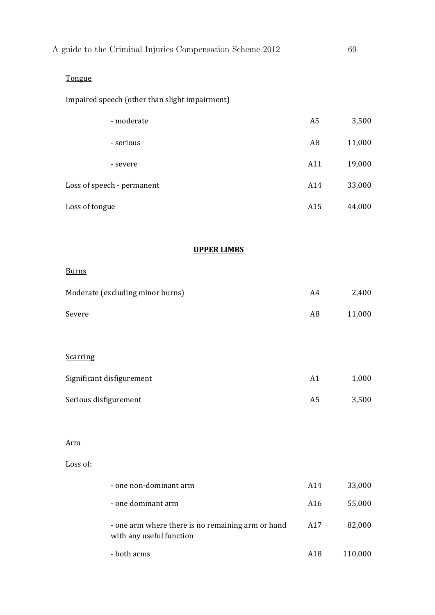### Tongue

| Impaired speech (other than slight impairment) |  |
|------------------------------------------------|--|
|                                                |  |

| - moderate                       | A <sub>5</sub> | 3,500  |
|----------------------------------|----------------|--------|
| - serious                        | A <sub>8</sub> | 11,000 |
| - severe                         | A11            | 19,000 |
| Loss of speech - permanent       | A14            | 33,000 |
| Loss of tongue                   | A15            | 44,000 |
|                                  |                |        |
| <b>UPPER LIMBS</b>               |                |        |
| <b>Burns</b>                     |                |        |
| Moderate (excluding minor burns) | A4             | 2,400  |
| Severe                           | A <sub>8</sub> | 11,000 |
|                                  |                |        |
| <b>Scarring</b>                  |                |        |

| Significant disfigurement | A1 | 1.000 |
|---------------------------|----|-------|
| Serious disfigurement     | A5 | 3,500 |

#### Arm

#### Loss of: the contract of the contract of the contract of the contract of the contract of the contract of the contract of the contract of the contract of the contract of the contract of the contract of the contract of the c

| - one non-dominant arm                                                        | A14 | 33,000  |
|-------------------------------------------------------------------------------|-----|---------|
| - one dominant arm                                                            | A16 | 55,000  |
| - one arm where there is no remaining arm or hand<br>with any useful function | A17 | 82,000  |
| - both arms                                                                   | A18 | 110,000 |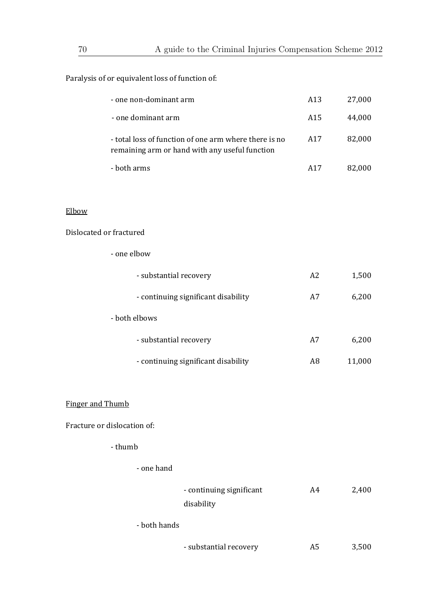### Paralysis of or equivalent loss of function of:

| - one non-dominant arm                                                                                  | A13                     | 27,000 |
|---------------------------------------------------------------------------------------------------------|-------------------------|--------|
| - one dominant arm                                                                                      | A15                     | 44,000 |
| - total loss of function of one arm where there is no<br>remaining arm or hand with any useful function | A17                     | 82,000 |
| - both arms                                                                                             | A17                     | 82,000 |
|                                                                                                         |                         |        |
|                                                                                                         |                         |        |
|                                                                                                         |                         |        |
| - one elbow                                                                                             |                         |        |
| - substantial recovery                                                                                  | A2                      | 1,500  |
| - continuing significant disability                                                                     | A7                      | 6,200  |
| - both elbows                                                                                           |                         |        |
| - substantial recovery                                                                                  | A7                      | 6,200  |
| - continuing significant disability                                                                     | A <sub>8</sub>          | 11,000 |
|                                                                                                         |                         |        |
|                                                                                                         | Dislocated or fractured |        |

# Finger and Thumb

Fracture or dislocation of:

- thumb **Exercise 2** 

#### ‐ one hand

|              | - continuing significant | A4 | 2,400 |
|--------------|--------------------------|----|-------|
|              | disability               |    |       |
| - both hands |                          |    |       |
|              | - substantial recovery   | A5 | 3,500 |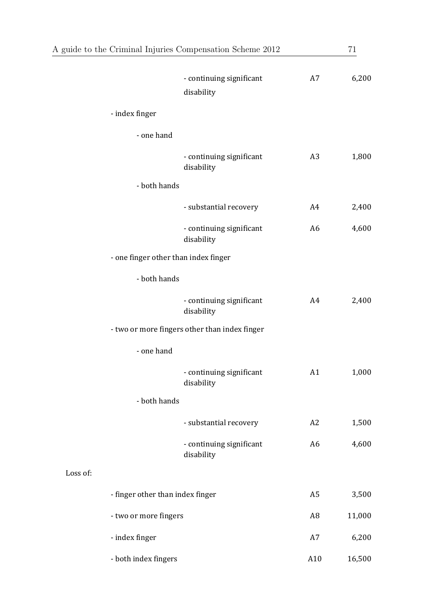| A guide to the Criminal Injuries Compensation Scheme 2012 |                                      |                                               |                | 71     |  |
|-----------------------------------------------------------|--------------------------------------|-----------------------------------------------|----------------|--------|--|
|                                                           |                                      | - continuing significant<br>disability        | A7             | 6,200  |  |
|                                                           | - index finger                       |                                               |                |        |  |
|                                                           | - one hand                           |                                               |                |        |  |
|                                                           |                                      | - continuing significant<br>disability        | A <sub>3</sub> | 1,800  |  |
|                                                           | - both hands                         |                                               |                |        |  |
|                                                           |                                      | - substantial recovery                        | A4             | 2,400  |  |
|                                                           |                                      | - continuing significant<br>disability        | A <sub>6</sub> | 4,600  |  |
|                                                           | - one finger other than index finger |                                               |                |        |  |
|                                                           | - both hands                         |                                               |                |        |  |
|                                                           |                                      | - continuing significant<br>disability        | A4             | 2,400  |  |
|                                                           |                                      | - two or more fingers other than index finger |                |        |  |
|                                                           | - one hand                           |                                               |                |        |  |
|                                                           |                                      | - continuing significant<br>disability        | A1             | 1,000  |  |
|                                                           | - both hands                         |                                               |                |        |  |
|                                                           |                                      | - substantial recovery                        | A2             | 1,500  |  |
|                                                           |                                      | - continuing significant<br>disability        | A6             | 4,600  |  |
| Loss of:                                                  |                                      |                                               |                |        |  |
|                                                           | - finger other than index finger     |                                               | A <sub>5</sub> | 3,500  |  |
|                                                           | - two or more fingers                |                                               | A8             | 11,000 |  |
|                                                           | - index finger                       |                                               | A7             | 6,200  |  |
|                                                           | - both index fingers                 |                                               | A10            | 16,500 |  |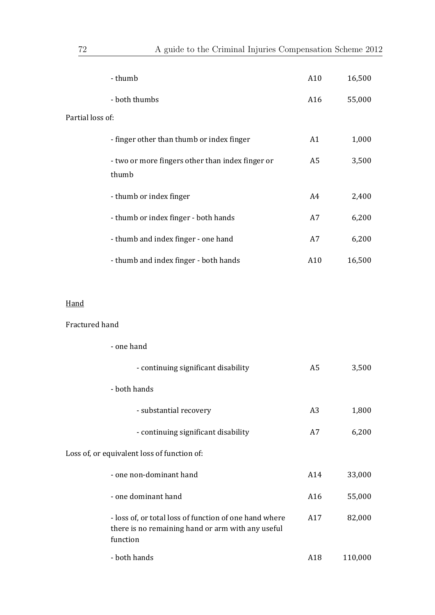| - thumb                              |                                                  | A10 | 16,500 |
|--------------------------------------|--------------------------------------------------|-----|--------|
| - both thumbs                        |                                                  | A16 | 55,000 |
| Partial loss of:                     |                                                  |     |        |
|                                      | - finger other than thumb or index finger        | A1  | 1,000  |
| thumb                                | - two or more fingers other than index finger or | A5  | 3,500  |
| - thumb or index finger              |                                                  | A4  | 2,400  |
| - thumb or index finger - both hands |                                                  | A7  | 6,200  |
| - thumb and index finger - one hand  |                                                  | A7  | 6,200  |
|                                      | - thumb and index finger - both hands            | A10 | 16,500 |

### Hand

### Fractured hand

| - one hand                                                                                                              |     |         |
|-------------------------------------------------------------------------------------------------------------------------|-----|---------|
| - continuing significant disability                                                                                     | A5  | 3,500   |
| - both hands                                                                                                            |     |         |
| - substantial recovery                                                                                                  | A3  | 1,800   |
| - continuing significant disability                                                                                     | A7  | 6,200   |
| Loss of, or equivalent loss of function of:                                                                             |     |         |
| - one non-dominant hand                                                                                                 | A14 | 33,000  |
| - one dominant hand                                                                                                     | A16 | 55,000  |
| - loss of, or total loss of function of one hand where<br>there is no remaining hand or arm with any useful<br>function | A17 | 82,000  |
| - both hands                                                                                                            | A18 | 110,000 |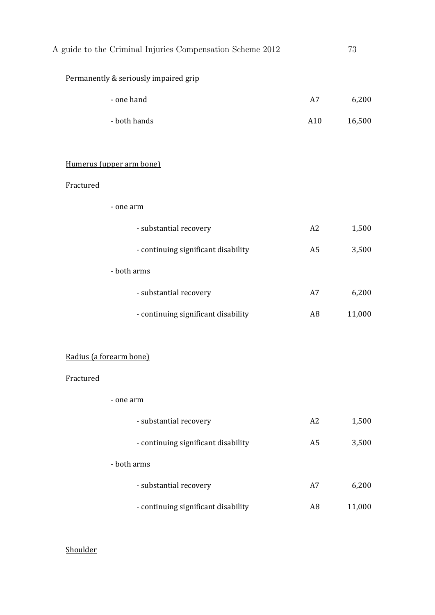|           | A guide to the Criminal Injuries Compensation Scheme 2012 |                | 73     |
|-----------|-----------------------------------------------------------|----------------|--------|
|           | Permanently & seriously impaired grip                     |                |        |
|           | - one hand                                                | A7             | 6,200  |
|           | - both hands                                              | A10            | 16,500 |
|           | Humerus (upper arm bone)                                  |                |        |
| Fractured |                                                           |                |        |
|           | - one arm                                                 |                |        |
|           | - substantial recovery                                    | A2             | 1,500  |
|           | - continuing significant disability                       | A <sub>5</sub> | 3,500  |
|           | - both arms                                               |                |        |
|           | - substantial recovery                                    | A7             | 6,200  |
|           | - continuing significant disability                       | A <sub>8</sub> | 11,000 |
|           | Radius (a forearm bone)                                   |                |        |
| Fractured |                                                           |                |        |
|           | - one arm                                                 |                |        |
|           | - substantial recovery                                    | A2             | 1,500  |
|           | - continuing significant disability                       | A <sub>5</sub> | 3,500  |
|           | - both arms                                               |                |        |
|           | - substantial recovery                                    | A7             | 6,200  |
|           | - continuing significant disability                       | A <sub>8</sub> | 11,000 |
|           |                                                           |                |        |

# Shoulder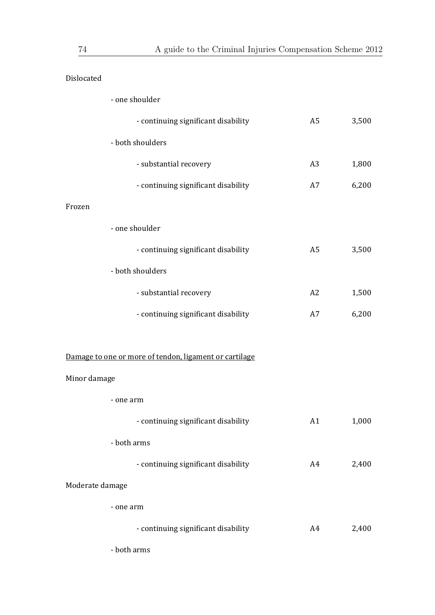| Dislocated      |                                                        |                |       |
|-----------------|--------------------------------------------------------|----------------|-------|
|                 | - one shoulder                                         |                |       |
|                 | - continuing significant disability                    | A <sub>5</sub> | 3,500 |
|                 | - both shoulders                                       |                |       |
|                 | - substantial recovery                                 | A <sub>3</sub> | 1,800 |
|                 | - continuing significant disability                    | A7             | 6,200 |
| Frozen          |                                                        |                |       |
|                 | - one shoulder                                         |                |       |
|                 | - continuing significant disability                    | A <sub>5</sub> | 3,500 |
|                 | - both shoulders                                       |                |       |
|                 | - substantial recovery                                 | A2             | 1,500 |
|                 | - continuing significant disability                    | A7             | 6,200 |
|                 |                                                        |                |       |
|                 | Damage to one or more of tendon, ligament or cartilage |                |       |
| Minor damage    |                                                        |                |       |
| - one arm       |                                                        |                |       |
|                 | - continuing significant disability                    | A1             | 1,000 |
|                 | - both arms                                            |                |       |
|                 | - continuing significant disability                    | A4             | 2,400 |
| Moderate damage |                                                        |                |       |
| - one arm       |                                                        |                |       |
|                 | - continuing significant disability                    | A4             | 2,400 |
|                 | - both arms                                            |                |       |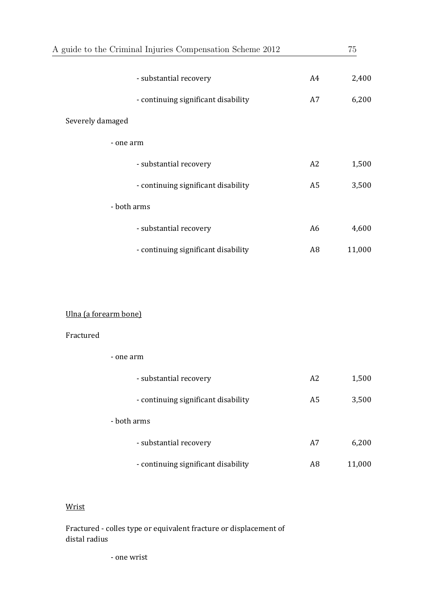| A guide to the Criminal Injuries Compensation Scheme 2012 |                |        |
|-----------------------------------------------------------|----------------|--------|
| - substantial recovery                                    | A4             | 2,400  |
| - continuing significant disability                       | A7             | 6,200  |
| Severely damaged                                          |                |        |
| - one arm                                                 |                |        |
| - substantial recovery                                    | A2             | 1,500  |
| - continuing significant disability                       | A <sub>5</sub> | 3,500  |
| - both arms                                               |                |        |
| - substantial recovery                                    | A6             | 4,600  |
| - continuing significant disability                       | A <sub>8</sub> | 11,000 |

### Ulna (a forearm bone)

 ‐ one arm 

#### Fractured

| - substantial recovery              | A <sub>2</sub> | 1,500  |
|-------------------------------------|----------------|--------|
| - continuing significant disability | A <sub>5</sub> | 3,500  |
| - both arms                         |                |        |
| - substantial recovery              | A7             | 6,200  |
| - continuing significant disability | A8             | 11,000 |

#### Wrist

Fractured - colles type or equivalent fracture or displacement of distal radius

 ‐ one wrist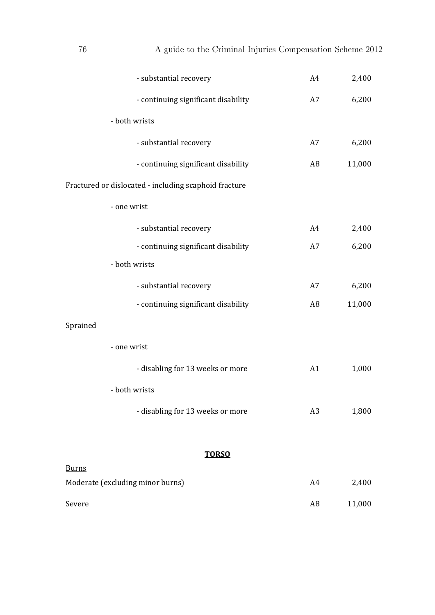| - substantial recovery                                | A4             | 2,400  |
|-------------------------------------------------------|----------------|--------|
| - continuing significant disability                   | A7             | 6,200  |
| - both wrists                                         |                |        |
| - substantial recovery                                | A7             | 6,200  |
| - continuing significant disability                   | A <sub>8</sub> | 11,000 |
| Fractured or dislocated - including scaphoid fracture |                |        |
| - one wrist                                           |                |        |
| - substantial recovery                                | A4             | 2,400  |
| - continuing significant disability                   | A7             | 6,200  |
| - both wrists                                         |                |        |
| - substantial recovery                                | A7             | 6,200  |
| - continuing significant disability                   | A <sub>8</sub> | 11,000 |
| Sprained                                              |                |        |
| - one wrist                                           |                |        |
| - disabling for 13 weeks or more                      | A1             | 1,000  |
| - both wrists                                         |                |        |
| - disabling for 13 weeks or more                      | A <sub>3</sub> | 1,800  |
| <b>TORSO</b>                                          |                |        |
| <b>Burns</b>                                          |                |        |
| Moderate (excluding minor burns)                      | A4             | 2,400  |
| Severe                                                | A <sub>8</sub> | 11,000 |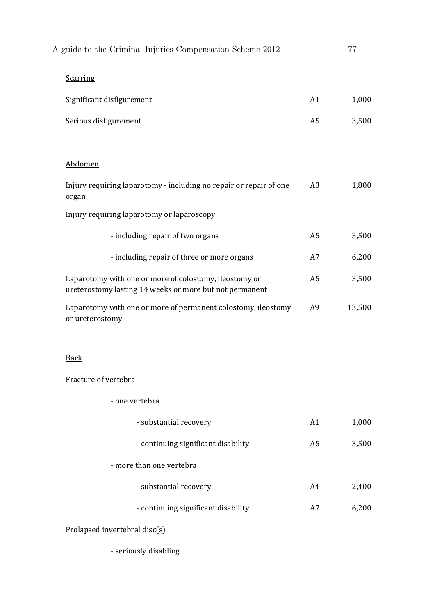| A guide to the Criminal Injuries Compensation Scheme 2012                                                         |                | 77     |
|-------------------------------------------------------------------------------------------------------------------|----------------|--------|
| <b>Scarring</b>                                                                                                   |                |        |
| Significant disfigurement                                                                                         | A1             | 1,000  |
| Serious disfigurement                                                                                             | A <sub>5</sub> | 3,500  |
|                                                                                                                   |                |        |
| Abdomen                                                                                                           |                |        |
| Injury requiring laparotomy - including no repair or repair of one<br>organ                                       | A3             | 1,800  |
| Injury requiring laparotomy or laparoscopy                                                                        |                |        |
| - including repair of two organs                                                                                  | A <sub>5</sub> | 3,500  |
| - including repair of three or more organs                                                                        | A7             | 6,200  |
| Laparotomy with one or more of colostomy, ileostomy or<br>ureterostomy lasting 14 weeks or more but not permanent | A <sub>5</sub> | 3,500  |
| Laparotomy with one or more of permanent colostomy, ileostomy<br>or ureterostomy                                  | A <sub>9</sub> | 13,500 |
|                                                                                                                   |                |        |

### Back

Fracture of vertebra

| - one vertebra                      |    |       |
|-------------------------------------|----|-------|
| - substantial recovery              | A1 | 1,000 |
| - continuing significant disability | A5 | 3,500 |
| - more than one vertebra            |    |       |
| - substantial recovery              | A4 | 2,400 |
| - continuing significant disability | A7 | 6,200 |
|                                     |    |       |

Prolapsed invertebral disc(s)

- seriously disabling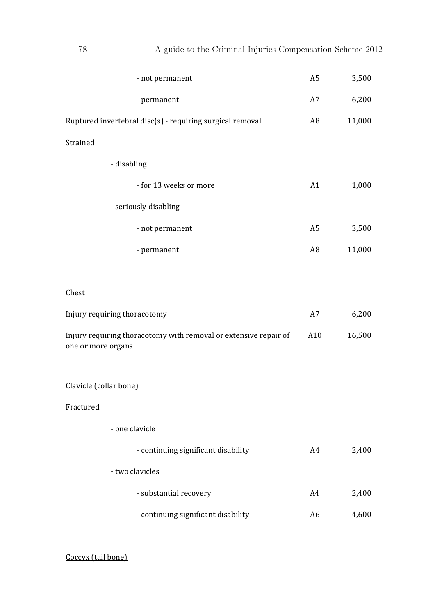| - not permanent                                                                        | A <sub>5</sub> | 3,500  |
|----------------------------------------------------------------------------------------|----------------|--------|
| - permanent                                                                            | A7             | 6,200  |
| Ruptured invertebral disc(s) - requiring surgical removal                              | A8             | 11,000 |
| Strained                                                                               |                |        |
| - disabling                                                                            |                |        |
| - for 13 weeks or more                                                                 | A1             | 1,000  |
| - seriously disabling                                                                  |                |        |
| - not permanent                                                                        | A <sub>5</sub> | 3,500  |
| - permanent                                                                            | A <sub>8</sub> | 11,000 |
|                                                                                        |                |        |
| Chest                                                                                  |                |        |
| Injury requiring thoracotomy                                                           | A7             | 6,200  |
| Injury requiring thoracotomy with removal or extensive repair of<br>one or more organs | A10            | 16,500 |
| Clavicle (collar bone)                                                                 |                |        |
| Fractured                                                                              |                |        |
| - one clavicle                                                                         |                |        |
| - continuing significant disability                                                    | A4             | 2,400  |
| - two clavicles                                                                        |                |        |
| - substantial recovery                                                                 | A4             | 2,400  |
| - continuing significant disability                                                    | A <sub>6</sub> | 4,600  |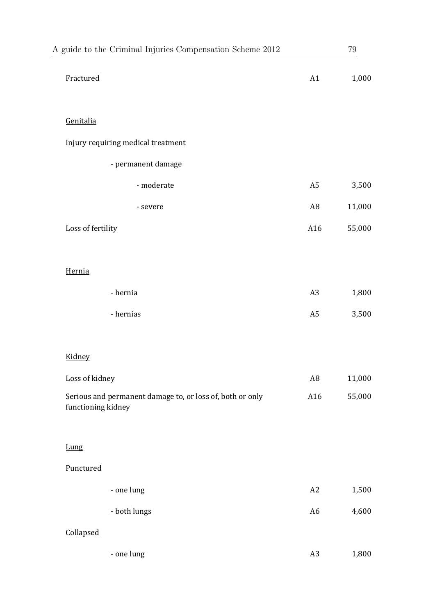| A guide to the Criminal Injuries Compensation Scheme 2012                       |                | $79\,$    |
|---------------------------------------------------------------------------------|----------------|-----------|
| Fractured                                                                       | A1             | $1,\!000$ |
| Genitalia                                                                       |                |           |
| Injury requiring medical treatment                                              |                |           |
| - permanent damage                                                              |                |           |
| - moderate                                                                      | A <sub>5</sub> | 3,500     |
| - severe                                                                        | A <sub>8</sub> | 11,000    |
| Loss of fertility                                                               | A16            | 55,000    |
| Hernia                                                                          |                |           |
| - hernia                                                                        | A <sub>3</sub> | 1,800     |
| - hernias                                                                       | A <sub>5</sub> | 3,500     |
| Kidney                                                                          |                |           |
| Loss of kidney                                                                  | A <sub>8</sub> | 11,000    |
| Serious and permanent damage to, or loss of, both or only<br>functioning kidney | A16            | 55,000    |
| Lung                                                                            |                |           |
| Punctured                                                                       |                |           |
| - one lung                                                                      | A2             | 1,500     |
| - both lungs                                                                    | A <sub>6</sub> | 4,600     |
| Collapsed                                                                       |                |           |
| - one lung                                                                      | A <sub>3</sub> | 1,800     |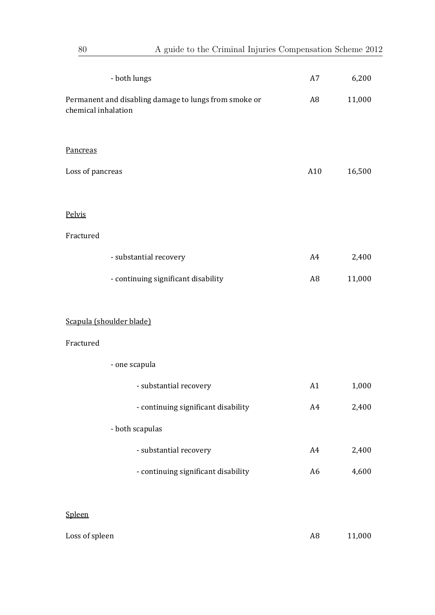| - both lungs                                                                 | A7             | 6,200  |
|------------------------------------------------------------------------------|----------------|--------|
| Permanent and disabling damage to lungs from smoke or<br>chemical inhalation | A8             | 11,000 |
| Pancreas                                                                     |                |        |
| Loss of pancreas                                                             | A10            | 16,500 |
| Pelvis                                                                       |                |        |
| Fractured                                                                    |                |        |
| - substantial recovery                                                       | A4             | 2,400  |
| - continuing significant disability                                          | A <sub>8</sub> | 11,000 |
| Scapula (shoulder blade)                                                     |                |        |
| Fractured                                                                    |                |        |
| - one scapula                                                                |                |        |
| - substantial recovery                                                       | A1             | 1,000  |
| - continuing significant disability                                          | A4             | 2,400  |
| - both scapulas                                                              |                |        |
| - substantial recovery                                                       | A4             | 2,400  |
| - continuing significant disability                                          | A <sub>6</sub> | 4,600  |

### Spleen

| Loss of spleen | 11,000 |
|----------------|--------|
|                |        |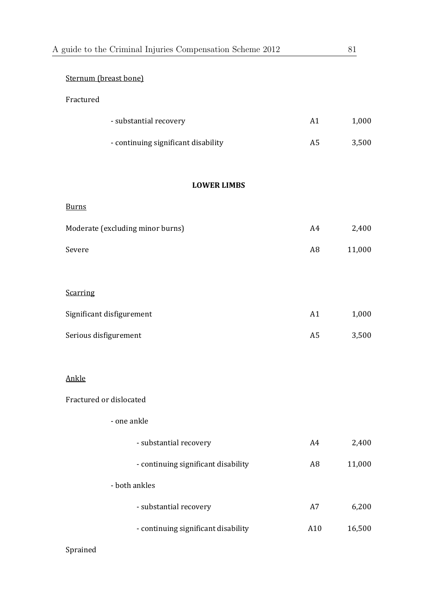| A guide to the Criminal Injuries Compensation Scheme 2012 |                | 81     |
|-----------------------------------------------------------|----------------|--------|
| Sternum (breast bone)                                     |                |        |
| Fractured                                                 |                |        |
| - substantial recovery                                    | A1             | 1,000  |
| - continuing significant disability                       | A <sub>5</sub> | 3,500  |
| <b>LOWER LIMBS</b>                                        |                |        |
| <b>Burns</b>                                              |                |        |
| Moderate (excluding minor burns)                          | A4             | 2,400  |
| Severe                                                    | A <sub>8</sub> | 11,000 |
| <b>Scarring</b>                                           |                |        |
| Significant disfigurement                                 | A1             | 1,000  |
| Serious disfigurement                                     | A <sub>5</sub> | 3,500  |
| Ankle                                                     |                |        |
| Fractured or dislocated                                   |                |        |
| - one ankle                                               |                |        |
| - substantial recovery                                    | A4             | 2,400  |
| - continuing significant disability                       | A <sub>8</sub> | 11,000 |
| - both ankles                                             |                |        |
| - substantial recovery                                    | A7             | 6,200  |
| - continuing significant disability                       | A10            | 16,500 |
|                                                           |                |        |

# Sprained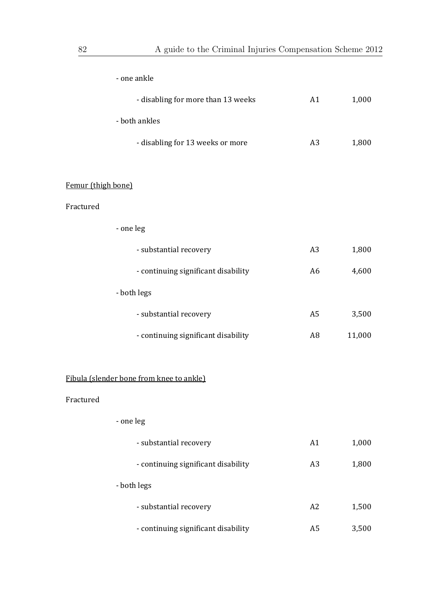| - one ankle                              |                |        |
|------------------------------------------|----------------|--------|
| - disabling for more than 13 weeks       | A1             | 1,000  |
| - both ankles                            |                |        |
| - disabling for 13 weeks or more         | A <sub>3</sub> | 1,800  |
|                                          |                |        |
| Femur (thigh bone)                       |                |        |
| Fractured                                |                |        |
| - one leg                                |                |        |
| - substantial recovery                   | A <sub>3</sub> | 1,800  |
| - continuing significant disability      | A <sub>6</sub> | 4,600  |
| - both legs                              |                |        |
| - substantial recovery                   | A <sub>5</sub> | 3,500  |
| - continuing significant disability      | A <sub>8</sub> | 11,000 |
|                                          |                |        |
| Fibula (slender bone from knee to ankle) |                |        |
| Fractured                                |                |        |
| - one leg                                |                |        |
| - substantial recovery                   | A1             | 1,000  |
| - continuing significant disability      | A <sub>3</sub> | 1,800  |
| - both legs                              |                |        |
| - substantial recovery                   | A2             | 1,500  |
| - continuing significant disability      | A <sub>5</sub> | 3,500  |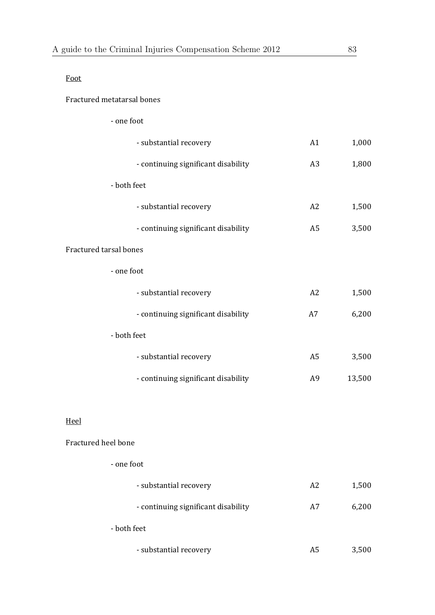#### Fractured metatarsal bones

| - one foot                          |                |        |
|-------------------------------------|----------------|--------|
| - substantial recovery              | A1             | 1,000  |
| - continuing significant disability | A3             | 1,800  |
| - both feet                         |                |        |
| - substantial recovery              | A2             | 1,500  |
| - continuing significant disability | A <sub>5</sub> | 3,500  |
| Fractured tarsal bones              |                |        |
| - one foot                          |                |        |
| - substantial recovery              | A2             | 1,500  |
| - continuing significant disability | A7             | 6,200  |
| - both feet                         |                |        |
| - substantial recovery              | A <sub>5</sub> | 3,500  |
| - continuing significant disability | A <sub>9</sub> | 13,500 |

### Heel

# Fractured heel bone

| - one foot |  |
|------------|--|
|------------|--|

| - substantial recovery              | A2 | 1,500 |
|-------------------------------------|----|-------|
| - continuing significant disability | A7 | 6,200 |
| - both feet                         |    |       |
| - substantial recovery              | A5 | 3,500 |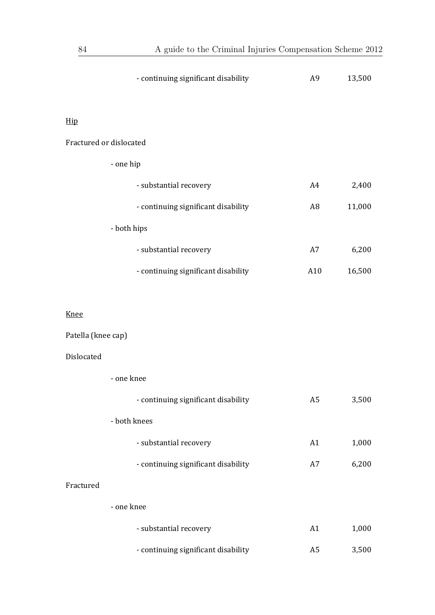| - continuing significant disability | A9             | 13,500 |
|-------------------------------------|----------------|--------|
|                                     |                |        |
| Hip                                 |                |        |
| Fractured or dislocated             |                |        |
| - one hip                           |                |        |
| - substantial recovery              | A4             | 2,400  |
| - continuing significant disability | A <sub>8</sub> | 11,000 |
| - both hips                         |                |        |
| - substantial recovery              | A7             | 6,200  |
| - continuing significant disability | A10            | 16,500 |
|                                     |                |        |
| <b>Knee</b>                         |                |        |
| Patella (knee cap)                  |                |        |
| Dislocated                          |                |        |
| - one knee                          |                |        |
| - continuing significant disability | A <sub>5</sub> | 3,500  |
| - both knees                        |                |        |
| - substantial recovery              | A1             | 1,000  |
| - continuing significant disability | A7             | 6,200  |

### Fractured

| - one knee                          |    |       |
|-------------------------------------|----|-------|
| - substantial recovery              | A1 | 1,000 |
| - continuing significant disability | A5 | 3,500 |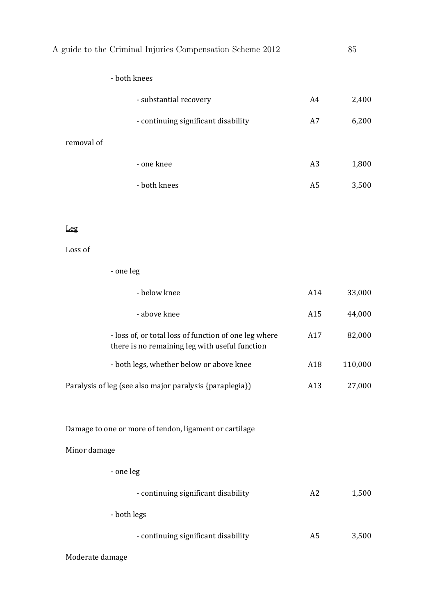| A guide to the Criminal Injuries Compensation Scheme 2012                                               |                | 85      |
|---------------------------------------------------------------------------------------------------------|----------------|---------|
| - both knees                                                                                            |                |         |
| - substantial recovery                                                                                  | A4             | 2,400   |
| - continuing significant disability                                                                     | A7             | 6,200   |
| removal of                                                                                              |                |         |
| - one knee                                                                                              | A <sub>3</sub> | 1,800   |
| - both knees                                                                                            | A <sub>5</sub> | 3,500   |
| Leg                                                                                                     |                |         |
| Loss of                                                                                                 |                |         |
| - one leg                                                                                               |                |         |
| - below knee                                                                                            | A14            | 33,000  |
| - above knee                                                                                            | A15            | 44,000  |
| - loss of, or total loss of function of one leg where<br>there is no remaining leg with useful function | A17            | 82,000  |
| - both legs, whether below or above knee                                                                | A18            | 110,000 |
| Paralysis of leg (see also major paralysis {paraplegia})                                                | A13            | 27,000  |
| Damage to one or more of tendon, ligament or cartilage                                                  |                |         |
| Minor damage                                                                                            |                |         |
| - one leg                                                                                               |                |         |
| - continuing significant disability                                                                     | A2             | 1,500   |
| - both legs                                                                                             |                |         |
| - continuing significant disability                                                                     | A5             | 3,500   |
| Moderate damage                                                                                         |                |         |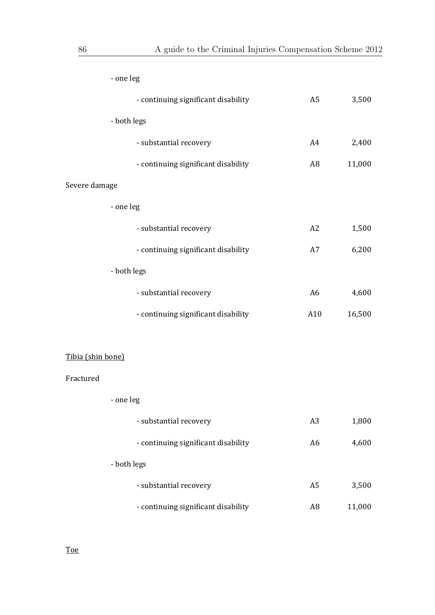|                   | - one leg                           |                |        |
|-------------------|-------------------------------------|----------------|--------|
|                   | - continuing significant disability | A5             | 3,500  |
|                   | - both legs                         |                |        |
|                   | - substantial recovery              | A4             | 2,400  |
|                   | - continuing significant disability | A8             | 11,000 |
| Severe damage     |                                     |                |        |
|                   | - one leg                           |                |        |
|                   | - substantial recovery              | A2             | 1,500  |
|                   | - continuing significant disability | A7             | 6,200  |
| - both legs       |                                     |                |        |
|                   | - substantial recovery              | A <sub>6</sub> | 4,600  |
|                   | - continuing significant disability | A10            | 16,500 |
|                   |                                     |                |        |
| Tibia (shin bone) |                                     |                |        |
| Fractured         |                                     |                |        |
|                   | - one leg                           |                |        |
|                   | - substantial recovery              | A <sub>3</sub> | 1,800  |
|                   | - continuing significant disability | A <sub>6</sub> | 4,600  |
|                   | - both legs                         |                |        |
|                   | - substantial recovery              | A <sub>5</sub> | 3,500  |
|                   | - continuing significant disability | A <sub>8</sub> | 11,000 |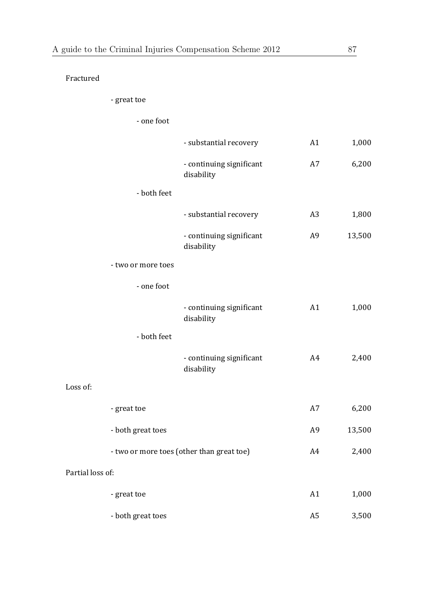Fractured 

 ‐ great toe 

 ‐ one foot 

|                    | - substantial recovery                    | A1             | 1,000  |
|--------------------|-------------------------------------------|----------------|--------|
|                    | - continuing significant<br>disability    | A7             | 6,200  |
| - both feet        |                                           |                |        |
|                    | - substantial recovery                    | A <sub>3</sub> | 1,800  |
|                    | - continuing significant<br>disability    | A <sub>9</sub> | 13,500 |
| - two or more toes |                                           |                |        |
| - one foot         |                                           |                |        |
|                    | - continuing significant<br>disability    | A1             | 1,000  |
| - both feet        |                                           |                |        |
|                    | - continuing significant<br>disability    | A4             | 2,400  |
| Loss of:           |                                           |                |        |
| - great toe        |                                           | A7             | 6,200  |
| - both great toes  |                                           | A <sub>9</sub> | 13,500 |
|                    | - two or more toes (other than great toe) | A4             | 2,400  |
| Partial loss of:   |                                           |                |        |
| - great toe        |                                           | A1             | 1,000  |
| - both great toes  |                                           | A <sub>5</sub> | 3,500  |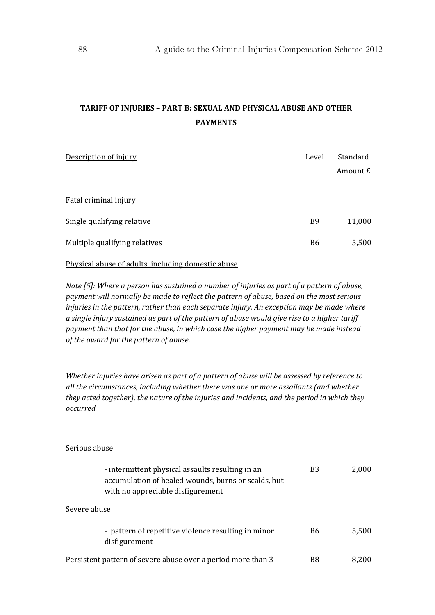# **TARIFF OF INJURIES – PART B: SEXUAL AND PHYSICAL ABUSE AND OTHER PAYMENTS**

| Description of injury         | Level     | Standard |
|-------------------------------|-----------|----------|
|                               |           | Amount £ |
|                               |           |          |
| Fatal criminal injury         |           |          |
| Single qualifying relative    | <b>B9</b> | 11,000   |
| Multiple qualifying relatives | <b>B6</b> | 5,500    |
|                               |           |          |

Physical abuse of adults, including domestic abuse

*Note [5]: Where a person has sustained a number of injuries as part of a pattern of abuse, payment will normally be made to reflect the pattern of abuse, based on the most serious injuries in the pattern, rather than each separate injury. An exception may be made where a single injury sustained as part of the pattern of abuse would give rise to a higher tariff payment than that for the abuse, in which case the higher payment may be made instead of the award for the pattern of abuse.*

*Whether injuries have arisen as part of a pattern of abuse will be assessed by reference to all the circumstances, including whether there was one or more assailants (and whether they acted together), the nature of the injuries and incidents, and the period in which they occurred.* 

#### Serious abuse

| - intermittent physical assaults resulting in an<br>accumulation of healed wounds, burns or scalds, but<br>with no appreciable disfigurement | B <sub>3</sub> | 2,000 |
|----------------------------------------------------------------------------------------------------------------------------------------------|----------------|-------|
| Severe abuse                                                                                                                                 |                |       |
| - pattern of repetitive violence resulting in minor<br>disfigurement                                                                         | B6             | 5,500 |
| Persistent pattern of severe abuse over a period more than 3                                                                                 | B8             | 8.200 |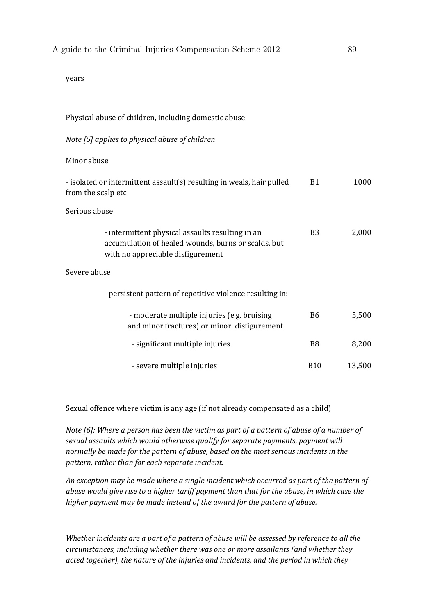#### years

| Physical abuse of children, including domestic abuse                                                                                         |                |        |
|----------------------------------------------------------------------------------------------------------------------------------------------|----------------|--------|
| Note [5] applies to physical abuse of children                                                                                               |                |        |
| Minor abuse                                                                                                                                  |                |        |
| - isolated or intermittent assault(s) resulting in weals, hair pulled<br>from the scalp etc                                                  | <b>B1</b>      | 1000   |
| Serious abuse                                                                                                                                |                |        |
| - intermittent physical assaults resulting in an<br>accumulation of healed wounds, burns or scalds, but<br>with no appreciable disfigurement | <b>B3</b>      | 2,000  |
| Severe abuse                                                                                                                                 |                |        |
| - persistent pattern of repetitive violence resulting in:                                                                                    |                |        |
| - moderate multiple injuries (e.g. bruising<br>and minor fractures) or minor disfigurement                                                   | <b>B6</b>      | 5,500  |
| - significant multiple injuries                                                                                                              | B <sub>8</sub> | 8,200  |
| - severe multiple injuries                                                                                                                   | <b>B10</b>     | 13,500 |

#### Sexual offence where victim is any age (if not already compensated as a child)

Note [6]: Where a person has been the victim as part of a pattern of abuse of a number of *sexual assaults which would otherwise qualify for separate payments, payment will normally be made for the pattern of abuse, based on the most serious incidents in the pattern, rather than for each separate incident.*

*An exception may be made where a single incident which occurred as part of the pattern of abuse would give rise to a higher tariff payment than that for the abuse, in which case the higher payment may be made instead of the award for the pattern of abuse.*

*Whether incidents are a part of a pattern of abuse will be assessed by reference to all the circumstances, including whether there was one or more assailants (and whether they acted together), the nature of the injuries and incidents, and the period in which they*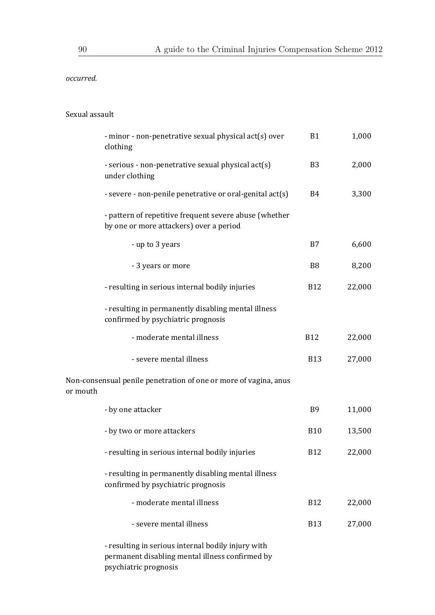*occurred.*

#### Sexual assault

|          | - minor - non-penetrative sexual physical act(s) over<br>clothing                                 | <b>B1</b>      | 1,000  |
|----------|---------------------------------------------------------------------------------------------------|----------------|--------|
|          | - serious - non-penetrative sexual physical act(s)<br>under clothing                              | B <sub>3</sub> | 2,000  |
|          | - severe - non-penile penetrative or oral-genital act(s)                                          | B <sub>4</sub> | 3,300  |
|          | - pattern of repetitive frequent severe abuse (whether<br>by one or more attackers) over a period |                |        |
|          | - up to 3 years                                                                                   | B7             | 6,600  |
|          | - 3 years or more                                                                                 | B <sub>8</sub> | 8,200  |
|          | - resulting in serious internal bodily injuries                                                   | <b>B12</b>     | 22,000 |
|          | - resulting in permanently disabling mental illness<br>confirmed by psychiatric prognosis         |                |        |
|          | - moderate mental illness                                                                         | <b>B12</b>     | 22,000 |
|          | - severe mental illness                                                                           | <b>B13</b>     | 27,000 |
| or mouth | Non-consensual penile penetration of one or more of vagina, anus                                  |                |        |
|          | - by one attacker                                                                                 | B <sub>9</sub> | 11,000 |
|          | - by two or more attackers                                                                        | <b>B10</b>     | 13,500 |
|          | - resulting in serious internal bodily injuries                                                   | <b>B12</b>     | 22,000 |
|          | - resulting in permanently disabling mental illness<br>confirmed by psychiatric prognosis         |                |        |
|          | - moderate mental illness                                                                         | <b>B12</b>     | 22,000 |
|          | - severe mental illness                                                                           | <b>B13</b>     | 27,000 |
|          | reculting in corious internal hodily injury with                                                  |                |        |

- resulting in serious internal bodily injury with permanent disabling mental illness confirmed by psychiatric prognosis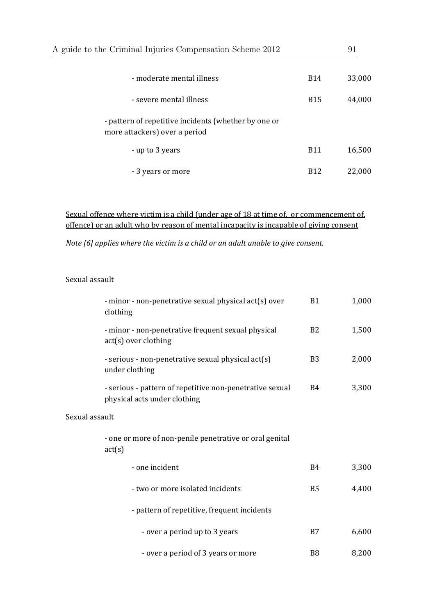| A guide to the Criminal Injuries Compensation Scheme 2012                             |            |        |
|---------------------------------------------------------------------------------------|------------|--------|
|                                                                                       |            |        |
| - moderate mental illness                                                             | <b>B14</b> | 33,000 |
| - severe mental illness                                                               | <b>B15</b> | 44,000 |
| - pattern of repetitive incidents (whether by one or<br>more attackers) over a period |            |        |
| - up to 3 years                                                                       | <b>B11</b> | 16,500 |
| - 3 years or more                                                                     | <b>B12</b> | 22,000 |

### Sexual offence where victim is a child (under age of 18 at time of, or commencement of, offence) or an adult who by reason of mental incapacity is incapable of giving consent

*Note [6] applies where the victim is a child or an adult unable to give consent.* 

#### Sexual assault

|                | - minor - non-penetrative sexual physical act(s) over<br>clothing                        | <b>B1</b>      | 1,000 |
|----------------|------------------------------------------------------------------------------------------|----------------|-------|
|                | - minor - non-penetrative frequent sexual physical<br>act(s) over clothing               | B <sub>2</sub> | 1,500 |
|                | - serious - non-penetrative sexual physical act(s)<br>under clothing                     | B <sub>3</sub> | 2,000 |
|                | - serious - pattern of repetitive non-penetrative sexual<br>physical acts under clothing | B4             | 3,300 |
| Sexual assault |                                                                                          |                |       |
|                | - one or more of non-penile penetrative or oral genital<br>act(s)                        |                |       |
|                | - one incident                                                                           | <b>B4</b>      | 3,300 |
|                | - two or more isolated incidents                                                         | <b>B5</b>      | 4,400 |
|                | - pattern of repetitive, frequent incidents                                              |                |       |
|                | - over a period up to 3 years                                                            | B7             | 6,600 |
|                | - over a period of 3 years or more                                                       | B <sub>8</sub> | 8,200 |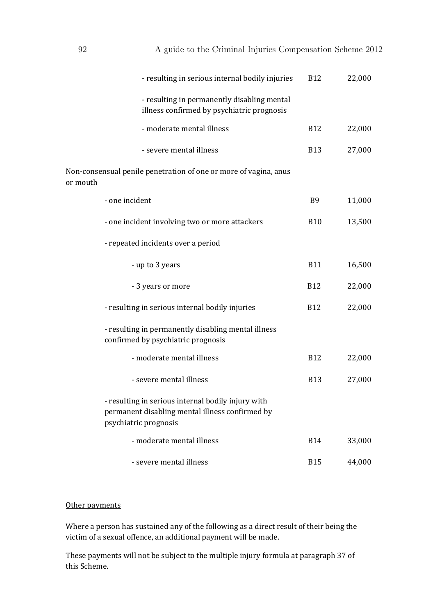| - resulting in serious internal bodily injuries                                                                                | <b>B12</b> | 22,000 |
|--------------------------------------------------------------------------------------------------------------------------------|------------|--------|
| - resulting in permanently disabling mental<br>illness confirmed by psychiatric prognosis                                      |            |        |
| - moderate mental illness                                                                                                      | <b>B12</b> | 22,000 |
| - severe mental illness                                                                                                        | <b>B13</b> | 27,000 |
| Non-consensual penile penetration of one or more of vagina, anus<br>or mouth                                                   |            |        |
| - one incident                                                                                                                 | <b>B9</b>  | 11,000 |
| - one incident involving two or more attackers                                                                                 | <b>B10</b> | 13,500 |
| - repeated incidents over a period                                                                                             |            |        |
| - up to 3 years                                                                                                                | <b>B11</b> | 16,500 |
| - 3 years or more                                                                                                              | <b>B12</b> | 22,000 |
| - resulting in serious internal bodily injuries                                                                                | <b>B12</b> | 22,000 |
| - resulting in permanently disabling mental illness<br>confirmed by psychiatric prognosis                                      |            |        |
| - moderate mental illness                                                                                                      | <b>B12</b> | 22,000 |
| - severe mental illness                                                                                                        | <b>B13</b> | 27,000 |
| - resulting in serious internal bodily injury with<br>permanent disabling mental illness confirmed by<br>psychiatric prognosis |            |        |
| - moderate mental illness                                                                                                      | <b>B14</b> | 33,000 |
| - severe mental illness                                                                                                        | <b>B15</b> | 44,000 |

### Other payments

Where a person has sustained any of the following as a direct result of their being the victim of a sexual offence, an additional payment will be made.

These payments will not be subject to the multiple injury formula at paragraph 37 of this Scheme.